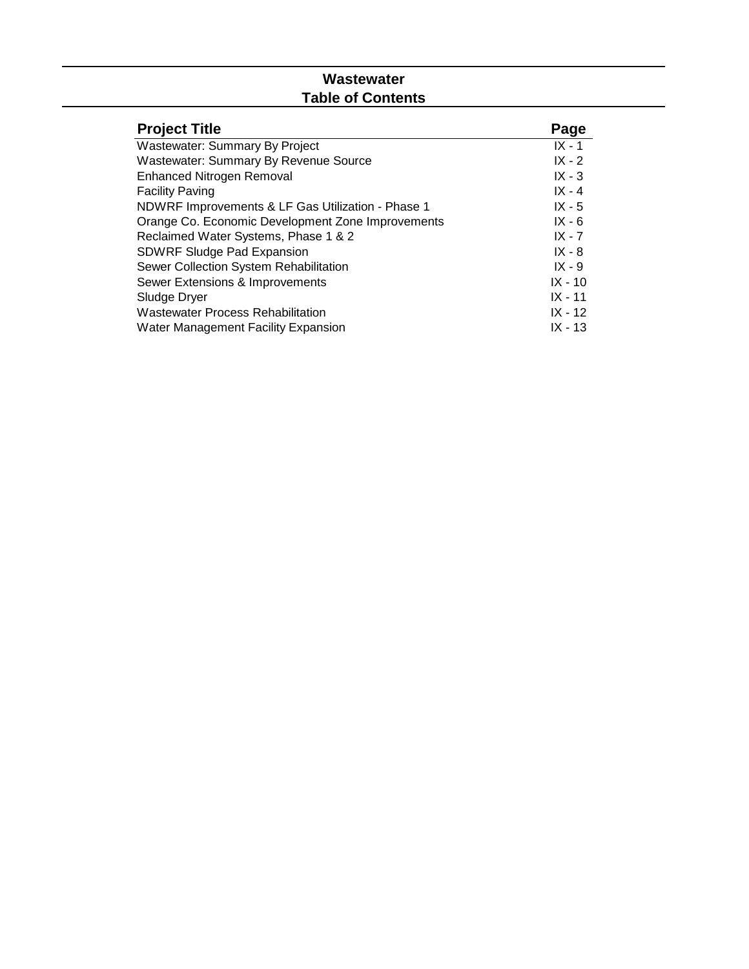## **Wastewater Table of Contents**

| <b>Project Title</b>                              | Page      |
|---------------------------------------------------|-----------|
| Wastewater: Summary By Project                    | $IX - 1$  |
| <b>Wastewater: Summary By Revenue Source</b>      | $IX - 2$  |
| <b>Enhanced Nitrogen Removal</b>                  | $IX - 3$  |
| <b>Facility Paving</b>                            | $IX - 4$  |
| NDWRF Improvements & LF Gas Utilization - Phase 1 | $IX - 5$  |
| Orange Co. Economic Development Zone Improvements | $IX - 6$  |
| Reclaimed Water Systems, Phase 1 & 2              | $IX - 7$  |
| <b>SDWRF Sludge Pad Expansion</b>                 | $IX - 8$  |
| Sewer Collection System Rehabilitation            | $IX - 9$  |
| Sewer Extensions & Improvements                   | $IX - 10$ |
| Sludge Dryer                                      | $IX - 11$ |
| <b>Wastewater Process Rehabilitation</b>          | $IX - 12$ |
| <b>Water Management Facility Expansion</b>        | IX - 13   |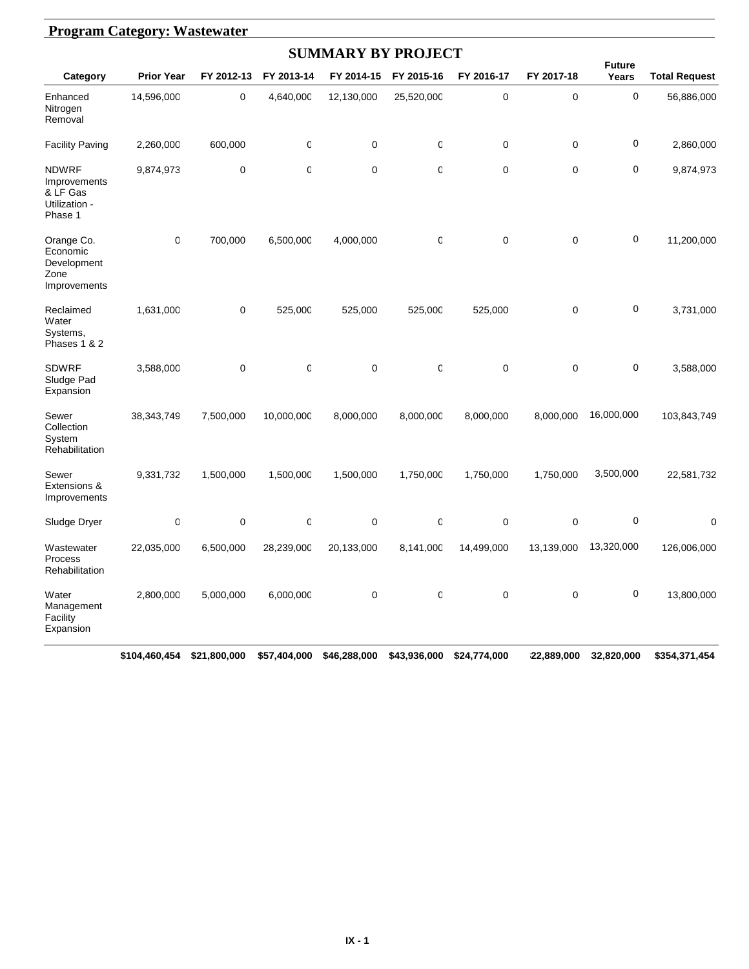| <b>Program Category: Wastewater</b>                                  |                   |             |              |                           |                  |            |             |                        |                      |  |  |
|----------------------------------------------------------------------|-------------------|-------------|--------------|---------------------------|------------------|------------|-------------|------------------------|----------------------|--|--|
|                                                                      |                   |             |              | <b>SUMMARY BY PROJECT</b> |                  |            |             |                        |                      |  |  |
| Category                                                             | <b>Prior Year</b> | FY 2012-13  | FY 2013-14   | FY 2014-15                | FY 2015-16       | FY 2016-17 | FY 2017-18  | <b>Future</b><br>Years | <b>Total Request</b> |  |  |
| Enhanced<br>Nitrogen<br>Removal                                      | 14,596,000        | 0           | 4,640,000    | 12,130,000                | 25,520,000       | $\pmb{0}$  | 0           | $\mathbf 0$            | 56,886,000           |  |  |
| <b>Facility Paving</b>                                               | 2,260,000         | 600,000     | 0            | $\mathbf 0$               | 0                | 0          | 0           | $\mathbf 0$            | 2,860,000            |  |  |
| <b>NDWRF</b><br>Improvements<br>& LF Gas<br>Utilization -<br>Phase 1 | 9,874,973         | $\mathbf 0$ | $\mathsf 0$  | $\mathbf 0$               | 0                | 0          | 0           | $\mathbf 0$            | 9,874,973            |  |  |
| Orange Co.<br>Economic<br>Development<br>Zone<br>Improvements        | $\mathbf 0$       | 700,000     | 6,500,000    | 4,000,000                 | $\mathbf 0$      | 0          | $\mathbf 0$ | 0                      | 11,200,000           |  |  |
| Reclaimed<br>Water<br>Systems,<br>Phases 1 & 2                       | 1,631,000         | $\mathbf 0$ | 525,000      | 525,000                   | 525,000          | 525,000    | $\mathbf 0$ | $\mathbf 0$            | 3,731,000            |  |  |
| <b>SDWRF</b><br>Sludge Pad<br>Expansion                              | 3,588,000         | $\mathbf 0$ | 0            | $\mathbf 0$               | 0                | 0          | $\mathbf 0$ | $\mathbf 0$            | 3,588,000            |  |  |
| Sewer<br>Collection<br>System<br>Rehabilitation                      | 38,343,749        | 7,500,000   | 10,000,000   | 8,000,000                 | 8,000,000        | 8,000,000  | 8,000,000   | 16,000,000             | 103,843,749          |  |  |
| Sewer<br>Extensions &<br>Improvements                                | 9,331,732         | 1,500,000   | 1,500,000    | 1,500,000                 | 1,750,000        | 1,750,000  | 1,750,000   | 3,500,000              | 22,581,732           |  |  |
| Sludge Dryer                                                         | 0                 | $\mathbf 0$ | $\mathbb{C}$ | 0                         | $\boldsymbol{0}$ | 0          | $\mathbf 0$ | $\pmb{0}$              | $\mathbf 0$          |  |  |
| Wastewater<br>Process<br>Rehabilitation                              | 22,035,000        | 6,500,000   | 28,239,000   | 20,133,000                | 8,141,000        | 14,499,000 | 13,139,000  | 13,320,000             | 126,006,000          |  |  |
| Water<br>Management<br>Facility<br>Expansion                         | 2,800,000         | 5,000,000   | 6,000,000    | $\pmb{0}$                 | $\boldsymbol{0}$ | 0          | $\mathbf 0$ | $\mathbf 0$            | 13,800,000           |  |  |

#### **\$104,460,454 \$21,800,000 \$57,404,000 \$46,288,000 \$43,936,000 \$24,774,000 \$22,889,000 \$32,820,000 \$354,371,454**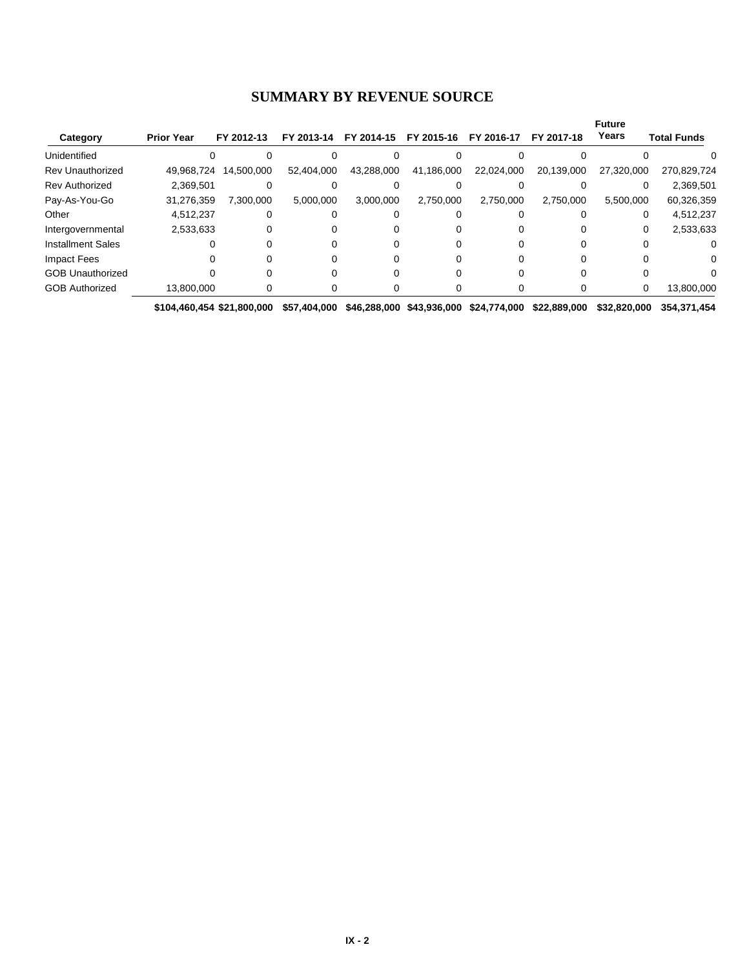#### **SUMMARY BY REVENUE SOURCE**

| Category                 | <b>Prior Year</b> | FY 2012-13 | FY 2013-14 | FY 2014-15 | FY 2015-16 | FY 2016-17 | FY 2017-18 | <b>Future</b><br>Years | <b>Total Funds</b> |
|--------------------------|-------------------|------------|------------|------------|------------|------------|------------|------------------------|--------------------|
| Unidentified             |                   |            |            |            |            |            |            |                        |                    |
| Rev Unauthorized         | 49,968,724        | 14,500,000 | 52,404,000 | 43,288,000 | 41,186,000 | 22,024,000 | 20,139,000 | 27,320,000             | 270,829,724        |
| Rev Authorized           | 2,369,501         |            |            |            |            |            |            |                        | 2,369,501          |
| Pay-As-You-Go            | 31,276,359        | 7.300.000  | 5,000,000  | 3.000.000  | 2,750,000  | 2,750,000  | 2,750,000  | 5,500,000              | 60,326,359         |
| Other                    | 4,512,237         | $\Omega$   |            |            |            |            |            |                        | 4,512,237          |
| Intergovernmental        | 2,533,633         |            |            |            |            |            |            |                        | 2,533,633          |
| <b>Installment Sales</b> |                   |            |            |            |            |            |            |                        |                    |
| Impact Fees              |                   |            |            |            |            |            |            |                        |                    |
| <b>GOB Unauthorized</b>  |                   |            |            |            |            |            |            |                        |                    |
| <b>GOB Authorized</b>    | 13.800.000        |            | 0          |            |            |            |            | 0                      | 13,800,000         |

**\$104,460,454 \$21,800,000 \$57,404,000 \$46,288,000 \$43,936,000 \$24,774,000 \$22,889,000 \$32,820,000 \$354,371,454**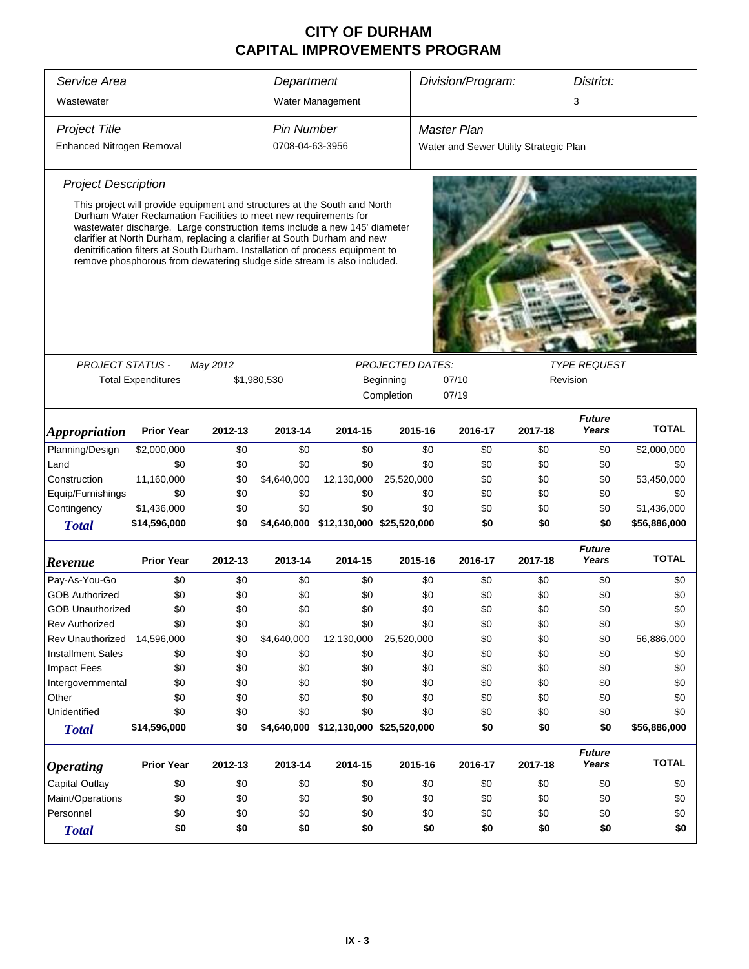| Service Area                |                                                                                                                                                                                                                                                                                                                                                                                                                                                                     |          | Department<br>Division/Program: |                                       |                         |     |                                        | District: |                        |              |
|-----------------------------|---------------------------------------------------------------------------------------------------------------------------------------------------------------------------------------------------------------------------------------------------------------------------------------------------------------------------------------------------------------------------------------------------------------------------------------------------------------------|----------|---------------------------------|---------------------------------------|-------------------------|-----|----------------------------------------|-----------|------------------------|--------------|
| Wastewater                  |                                                                                                                                                                                                                                                                                                                                                                                                                                                                     |          |                                 | Water Management                      |                         |     |                                        |           | 3                      |              |
| <b>Project Title</b>        |                                                                                                                                                                                                                                                                                                                                                                                                                                                                     |          | <b>Pin Number</b>               |                                       |                         |     | <b>Master Plan</b>                     |           |                        |              |
| Enhanced Nitrogen Removal   |                                                                                                                                                                                                                                                                                                                                                                                                                                                                     |          | 0708-04-63-3956                 |                                       |                         |     | Water and Sewer Utility Strategic Plan |           |                        |              |
|                             |                                                                                                                                                                                                                                                                                                                                                                                                                                                                     |          |                                 |                                       |                         |     |                                        |           |                        |              |
| <b>Project Description</b>  |                                                                                                                                                                                                                                                                                                                                                                                                                                                                     |          |                                 |                                       |                         |     |                                        |           |                        |              |
|                             | This project will provide equipment and structures at the South and North<br>Durham Water Reclamation Facilities to meet new requirements for<br>wastewater discharge. Large construction items include a new 145' diameter<br>clarifier at North Durham, replacing a clarifier at South Durham and new<br>denitrification filters at South Durham. Installation of process equipment to<br>remove phosphorous from dewatering sludge side stream is also included. |          |                                 |                                       |                         |     |                                        |           |                        |              |
|                             |                                                                                                                                                                                                                                                                                                                                                                                                                                                                     |          |                                 |                                       |                         |     |                                        |           |                        |              |
| <b>PROJECT STATUS -</b>     |                                                                                                                                                                                                                                                                                                                                                                                                                                                                     | May 2012 |                                 |                                       | <b>PROJECTED DATES:</b> |     |                                        |           | <b>TYPE REQUEST</b>    |              |
|                             | <b>Total Expenditures</b>                                                                                                                                                                                                                                                                                                                                                                                                                                           |          | \$1,980,530                     |                                       | Beginning               |     | 07/10                                  |           | Revision               |              |
|                             |                                                                                                                                                                                                                                                                                                                                                                                                                                                                     |          |                                 |                                       | Completion              |     | 07/19                                  |           |                        |              |
| <i><b>Appropriation</b></i> | <b>Prior Year</b>                                                                                                                                                                                                                                                                                                                                                                                                                                                   | 2012-13  | 2013-14                         | 2014-15                               | 2015-16                 |     | 2016-17                                | 2017-18   | <b>Future</b><br>Years | <b>TOTAL</b> |
| Planning/Design             | \$2,000,000                                                                                                                                                                                                                                                                                                                                                                                                                                                         | \$0      | \$0                             | \$0                                   |                         | \$0 | \$0                                    | \$0       | \$0                    | \$2,000,000  |
| Land                        | \$0                                                                                                                                                                                                                                                                                                                                                                                                                                                                 | \$0      | \$0                             | \$0                                   |                         | \$0 | \$0                                    | \$0       | \$0                    | \$0          |
| Construction                | 11,160,000                                                                                                                                                                                                                                                                                                                                                                                                                                                          | \$0      | \$4,640,000                     | 12,130,000                            | 25,520,000              |     | \$0                                    | \$0       | \$0                    | 53,450,000   |
| Equip/Furnishings           | \$0                                                                                                                                                                                                                                                                                                                                                                                                                                                                 | \$0      | \$0                             | \$0                                   |                         | \$0 | \$0                                    | \$0       | \$0                    | \$0          |
| Contingency                 | \$1,436,000                                                                                                                                                                                                                                                                                                                                                                                                                                                         | \$0      | \$0                             | \$0                                   |                         | \$0 | \$0                                    | \$0       | \$0                    | \$1,436,000  |
| <b>Total</b>                | \$14,596,000                                                                                                                                                                                                                                                                                                                                                                                                                                                        | \$0      |                                 | \$4,640,000 \$12,130,000 \$25,520,000 |                         |     | \$0                                    | \$0       | \$0                    | \$56,886,000 |
| Revenue                     | <b>Prior Year</b>                                                                                                                                                                                                                                                                                                                                                                                                                                                   | 2012-13  | 2013-14                         | 2014-15                               | 2015-16                 |     | 2016-17                                | 2017-18   | <b>Future</b><br>Years | <b>TOTAL</b> |
| Pay-As-You-Go               | \$0                                                                                                                                                                                                                                                                                                                                                                                                                                                                 | \$0      | \$0                             | \$0                                   |                         | \$0 | \$0                                    | \$0       | \$0                    | \$0          |
| <b>GOB Authorized</b>       | \$0                                                                                                                                                                                                                                                                                                                                                                                                                                                                 | \$0      | \$0                             | \$0                                   |                         | \$0 | \$0                                    | \$0       | \$0                    | \$0          |
| GOB Unauthorized            | \$0                                                                                                                                                                                                                                                                                                                                                                                                                                                                 | \$0      | \$0                             | \$0                                   |                         | \$0 | \$0                                    | \$0       | \$0                    | \$0          |
| Rev Authorized              | \$0                                                                                                                                                                                                                                                                                                                                                                                                                                                                 | \$0      | \$0                             | \$0                                   |                         | \$0 | \$0                                    | \$0       | \$0                    | \$0          |
| Rev Unauthorized            | 14,596,000                                                                                                                                                                                                                                                                                                                                                                                                                                                          | \$0      | \$4,640,000                     | 12,130,000                            | 25,520,000              |     | \$0                                    | \$0       | \$0                    | 56,886,000   |
| <b>Installment Sales</b>    | \$0                                                                                                                                                                                                                                                                                                                                                                                                                                                                 | \$0      | \$0                             | \$0                                   |                         | \$0 | \$0                                    | \$0       | \$0                    | \$0          |
| <b>Impact Fees</b>          | \$0                                                                                                                                                                                                                                                                                                                                                                                                                                                                 | \$0      | \$0                             | \$0                                   |                         | \$0 | \$0                                    | \$0       | \$0                    | \$0          |
| Intergovernmental           | \$0                                                                                                                                                                                                                                                                                                                                                                                                                                                                 | \$0      | \$0                             | \$0                                   |                         | \$0 | \$0                                    | \$0       | \$0                    | \$0          |
| Other                       | \$0                                                                                                                                                                                                                                                                                                                                                                                                                                                                 | \$0      | \$0                             | \$0                                   |                         | \$0 | \$0                                    | \$0       | \$0                    | \$0          |
| Unidentified                | \$0                                                                                                                                                                                                                                                                                                                                                                                                                                                                 | \$0      | \$0                             | \$0                                   |                         | \$0 | \$0                                    | \$0       | \$0                    | \$0          |
| <b>Total</b>                | \$14,596,000                                                                                                                                                                                                                                                                                                                                                                                                                                                        | \$0      |                                 | \$4,640,000 \$12,130,000 \$25,520,000 |                         |     | \$0                                    | \$0       | \$0                    | \$56,886,000 |
| <b>Operating</b>            | <b>Prior Year</b>                                                                                                                                                                                                                                                                                                                                                                                                                                                   | 2012-13  | 2013-14                         | 2014-15                               | 2015-16                 |     | 2016-17                                | 2017-18   | <b>Future</b><br>Years | <b>TOTAL</b> |
| Capital Outlay              | \$0                                                                                                                                                                                                                                                                                                                                                                                                                                                                 | \$0      | \$0                             | \$0                                   |                         | \$0 | \$0                                    | \$0       | \$0                    | \$0          |
| Maint/Operations            | \$0                                                                                                                                                                                                                                                                                                                                                                                                                                                                 | \$0      | \$0                             | \$0                                   |                         | \$0 | \$0                                    | \$0       | \$0                    | \$0          |
| Personnel                   | \$0                                                                                                                                                                                                                                                                                                                                                                                                                                                                 | \$0      | \$0                             | \$0                                   |                         | \$0 | \$0                                    | \$0       | \$0                    | \$0          |
| <b>Total</b>                | \$0                                                                                                                                                                                                                                                                                                                                                                                                                                                                 | \$0      | \$0                             | \$0                                   |                         | \$0 | \$0                                    | \$0       | \$0                    | \$0          |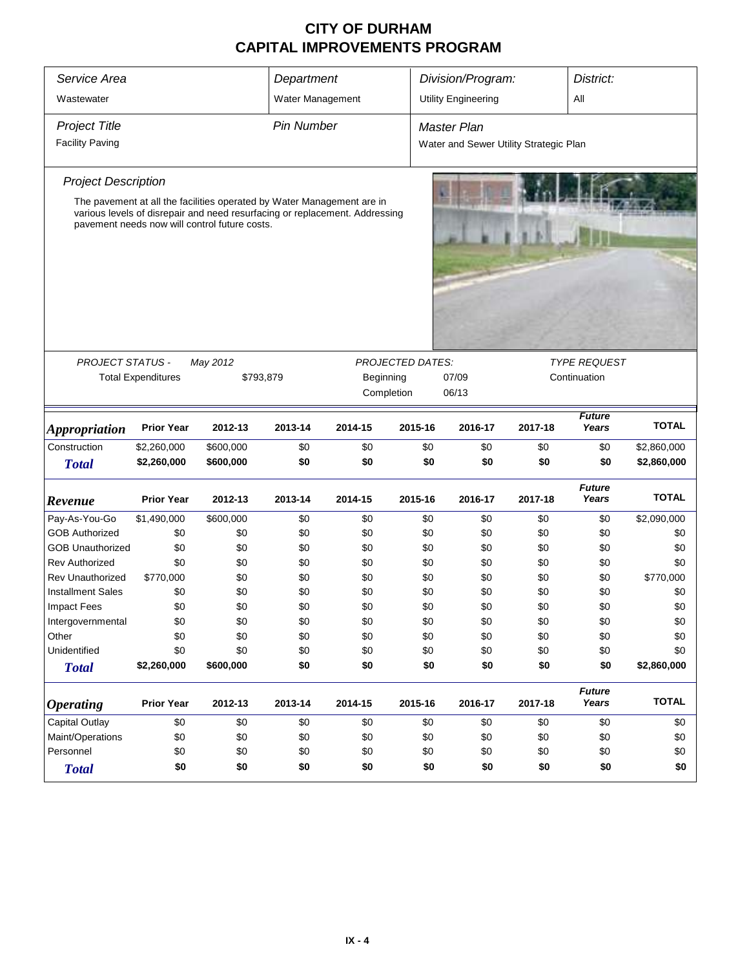| Service Area<br>Wastewater                     |                           |                                                                                                                                                                                                        | Department<br>Water Management |            |                                       | Division/Program:<br><b>Utility Engineering</b>              |            |                                     |              |  |
|------------------------------------------------|---------------------------|--------------------------------------------------------------------------------------------------------------------------------------------------------------------------------------------------------|--------------------------------|------------|---------------------------------------|--------------------------------------------------------------|------------|-------------------------------------|--------------|--|
| <b>Project Title</b><br><b>Facility Paving</b> |                           |                                                                                                                                                                                                        | <b>Pin Number</b>              |            |                                       | <b>Master Plan</b><br>Water and Sewer Utility Strategic Plan |            |                                     |              |  |
| <b>Project Description</b>                     |                           |                                                                                                                                                                                                        |                                |            |                                       |                                                              |            |                                     |              |  |
|                                                |                           | The pavement at all the facilities operated by Water Management are in<br>various levels of disrepair and need resurfacing or replacement. Addressing<br>pavement needs now will control future costs. |                                |            |                                       |                                                              |            |                                     |              |  |
|                                                |                           |                                                                                                                                                                                                        |                                |            |                                       |                                                              |            |                                     |              |  |
| <b>PROJECT STATUS -</b>                        | <b>Total Expenditures</b> | May 2012<br>\$793,879                                                                                                                                                                                  |                                | Beginning  | <b>PROJECTED DATES:</b><br>Completion | 07/09<br>06/13                                               |            | <b>TYPE REQUEST</b><br>Continuation |              |  |
| <b>Appropriation</b>                           | <b>Prior Year</b>         | 2012-13                                                                                                                                                                                                | 2013-14                        | 2014-15    | 2015-16                               | 2016-17                                                      | 2017-18    | <b>Future</b><br>Years              | <b>TOTAL</b> |  |
| Construction                                   | \$2,260,000               | \$600,000                                                                                                                                                                                              | \$0                            | \$0        | \$0                                   | \$0                                                          | \$0        | \$0                                 | \$2,860,000  |  |
| <b>Total</b>                                   | \$2,260,000               | \$600,000                                                                                                                                                                                              | \$0                            | \$0        | \$0                                   | \$0                                                          | \$0        | \$0                                 | \$2,860,000  |  |
| Revenue                                        | <b>Prior Year</b>         | 2012-13                                                                                                                                                                                                | 2013-14                        | 2014-15    | 2015-16                               | 2016-17                                                      | 2017-18    | <b>Future</b><br>Years              | <b>TOTAL</b> |  |
| Pay-As-You-Go                                  | \$1,490,000               | \$600,000                                                                                                                                                                                              | \$0                            | \$0        | \$0                                   | \$0                                                          | \$0        | \$0                                 | \$2,090,000  |  |
| <b>GOB Authorized</b>                          | \$0                       | \$0                                                                                                                                                                                                    | \$0                            | \$0        | \$0                                   | \$0                                                          | \$0        | \$0                                 | \$0          |  |
| <b>GOB Unauthorized</b>                        | \$0                       | \$0                                                                                                                                                                                                    | \$0                            | \$0        | \$0                                   | \$0                                                          | \$0        | \$0                                 | \$0          |  |
| <b>Rev Authorized</b>                          | \$0                       | \$0                                                                                                                                                                                                    | \$0                            | \$0        | \$0                                   | \$0                                                          | \$0        | \$0                                 | \$0          |  |
| <b>Rev Unauthorized</b>                        | \$770,000                 | \$0                                                                                                                                                                                                    | \$0                            | \$0        | \$0                                   | \$0                                                          | \$0        | \$0                                 | \$770,000    |  |
| <b>Installment Sales</b>                       | \$0                       | \$0                                                                                                                                                                                                    | \$0                            | \$0        | \$0                                   | \$0                                                          | \$0        | \$0                                 | \$0          |  |
| <b>Impact Fees</b>                             | \$0                       | \$0                                                                                                                                                                                                    | \$0                            | \$0        | \$0                                   | \$0                                                          | \$0        | \$0                                 | \$0          |  |
| Intergovernmental                              | \$0                       | \$0                                                                                                                                                                                                    | \$0                            | \$0        | \$0                                   | \$0                                                          | \$0        | \$0                                 | \$0          |  |
| Other<br>Unidentified                          | \$0<br>\$0                | \$0<br>\$0                                                                                                                                                                                             | \$0<br>\$0                     | \$0<br>\$0 | \$0<br>\$0                            | \$0<br>\$0                                                   | \$0<br>\$0 | \$0<br>\$0                          | \$0<br>\$0   |  |
| <b>Total</b>                                   | \$2,260,000               | \$600,000                                                                                                                                                                                              | \$0                            | \$0        | \$0                                   | \$0                                                          | \$0        | \$0                                 | \$2,860,000  |  |
| <i><b>Operating</b></i>                        | <b>Prior Year</b>         | 2012-13                                                                                                                                                                                                | 2013-14                        | 2014-15    | 2015-16                               | 2016-17                                                      | 2017-18    | <b>Future</b><br>Years              | <b>TOTAL</b> |  |
| Capital Outlay                                 | \$0                       | \$0                                                                                                                                                                                                    | \$0                            | \$0        | \$0                                   | \$0                                                          | \$0        | \$0                                 | \$0          |  |
| Maint/Operations                               | \$0                       | \$0                                                                                                                                                                                                    | \$0                            | \$0        | \$0                                   | \$0                                                          | \$0        | \$0                                 | \$0          |  |
| Personnel                                      | \$0                       | \$0                                                                                                                                                                                                    | \$0                            | \$0        | \$0                                   | \$0                                                          | \$0        | \$0                                 | \$0          |  |
| <b>Total</b>                                   | \$0                       | \$0<br>\$0<br>\$0<br>\$0<br>\$0<br>\$0<br>\$0<br>\$0                                                                                                                                                   |                                |            |                                       |                                                              |            |                                     |              |  |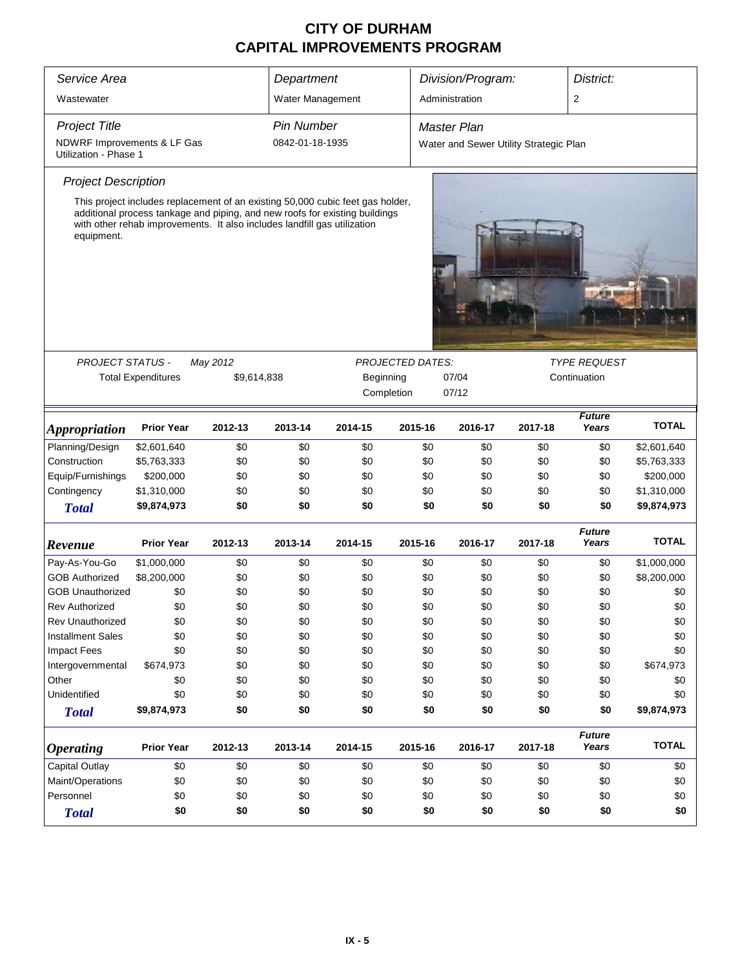| Service Area                                                                                                                                                                                                                                                                                                              |                                                                |         | Department        |            |         | Division/Program:                      |         | District:              |              |  |
|---------------------------------------------------------------------------------------------------------------------------------------------------------------------------------------------------------------------------------------------------------------------------------------------------------------------------|----------------------------------------------------------------|---------|-------------------|------------|---------|----------------------------------------|---------|------------------------|--------------|--|
| Wastewater                                                                                                                                                                                                                                                                                                                |                                                                |         | Water Management  |            |         | Administration                         |         | $\overline{2}$         |              |  |
| <b>Project Title</b>                                                                                                                                                                                                                                                                                                      |                                                                |         | <b>Pin Number</b> |            |         | <b>Master Plan</b>                     |         |                        |              |  |
| NDWRF Improvements & LF Gas<br>Utilization - Phase 1                                                                                                                                                                                                                                                                      |                                                                |         | 0842-01-18-1935   |            |         | Water and Sewer Utility Strategic Plan |         |                        |              |  |
| <b>Project Description</b>                                                                                                                                                                                                                                                                                                |                                                                |         |                   |            |         |                                        |         |                        |              |  |
| This project includes replacement of an existing 50,000 cubic feet gas holder,<br>additional process tankage and piping, and new roofs for existing buildings<br>with other rehab improvements. It also includes landfill gas utilization<br>equipment.<br><b>PROJECT STATUS -</b><br>May 2012<br><b>PROJECTED DATES:</b> |                                                                |         |                   |            |         |                                        |         |                        |              |  |
|                                                                                                                                                                                                                                                                                                                           |                                                                |         |                   |            |         |                                        |         | <b>TYPE REQUEST</b>    |              |  |
|                                                                                                                                                                                                                                                                                                                           | <b>Total Expenditures</b><br>\$9,614,838<br>Beginning<br>07/04 |         |                   |            |         |                                        |         | Continuation           |              |  |
|                                                                                                                                                                                                                                                                                                                           |                                                                |         |                   | Completion |         | 07/12                                  |         |                        |              |  |
| <b>Appropriation</b>                                                                                                                                                                                                                                                                                                      | <b>Prior Year</b>                                              | 2012-13 | 2013-14           | 2014-15    | 2015-16 | 2016-17                                | 2017-18 | <b>Future</b><br>Years | <b>TOTAL</b> |  |
| Planning/Design                                                                                                                                                                                                                                                                                                           | \$2,601,640                                                    | \$0     | \$0               | \$0        | \$0     | \$0                                    | \$0     | \$0                    | \$2,601,640  |  |
| Construction                                                                                                                                                                                                                                                                                                              | \$5,763,333                                                    | \$0     | \$0               | \$0        | \$0     | \$0                                    | \$0     | \$0                    | \$5,763,333  |  |
| Equip/Furnishings                                                                                                                                                                                                                                                                                                         | \$200,000                                                      | \$0     | \$0               | \$0        | \$0     | \$0                                    | \$0     | \$0                    | \$200,000    |  |
| Contingency                                                                                                                                                                                                                                                                                                               | \$1,310,000                                                    | \$0     | \$0               | \$0        | \$0     | \$0                                    | \$0     | \$0                    | \$1,310,000  |  |
| <b>Total</b>                                                                                                                                                                                                                                                                                                              | \$9,874,973                                                    | \$0     | \$0               | \$0        | \$0     | \$0                                    | \$0     | \$0                    | \$9,874,973  |  |
| Revenue                                                                                                                                                                                                                                                                                                                   | <b>Prior Year</b>                                              | 2012-13 | 2013-14           | 2014-15    | 2015-16 | 2016-17                                | 2017-18 | <b>Future</b><br>Years | <b>TOTAL</b> |  |
| Pay-As-You-Go                                                                                                                                                                                                                                                                                                             | \$1,000,000                                                    | \$0     | \$0               | \$0        | \$0     | \$0                                    | \$0     | \$0                    | \$1,000,000  |  |
| <b>GOB Authorized</b>                                                                                                                                                                                                                                                                                                     | \$8,200,000                                                    | \$0     | \$0               | \$0        | \$0     | \$0                                    | \$0     | \$0                    | \$8,200,000  |  |
| <b>GOB Unauthorized</b>                                                                                                                                                                                                                                                                                                   | \$0                                                            | \$0     | \$0               | \$0        | \$0     | \$0                                    | \$0     | \$0                    | \$0          |  |
| <b>Rev Authorized</b>                                                                                                                                                                                                                                                                                                     | \$0                                                            | \$0     | \$0               | \$0        | \$0     | \$0                                    | \$0     | \$0                    | \$0          |  |
| <b>Rev Unauthorized</b>                                                                                                                                                                                                                                                                                                   | \$0                                                            | \$0     | \$0               | \$0        | \$0     | \$0                                    | \$0     | \$0                    | \$0          |  |
| <b>Installment Sales</b>                                                                                                                                                                                                                                                                                                  | \$0                                                            | \$0     | \$0               | \$0        | \$0     | \$0                                    | \$0     | \$0                    | \$0          |  |
| <b>Impact Fees</b>                                                                                                                                                                                                                                                                                                        | \$0                                                            | \$0     | \$0               | \$0        | \$0     | \$0                                    | \$0     | \$0                    | \$0          |  |
| Intergovernmental                                                                                                                                                                                                                                                                                                         | \$674,973                                                      | \$0     | \$0               | \$0        | \$0     | \$0                                    | \$0     | \$0                    | \$674,973    |  |
| Other                                                                                                                                                                                                                                                                                                                     | \$0                                                            | \$0     | \$0               | \$0        | \$0     | \$0                                    | \$0     | \$0                    | \$0          |  |
| Unidentified                                                                                                                                                                                                                                                                                                              | \$0                                                            | \$0     | \$0               | \$0        | \$0     | \$0                                    | \$0     | \$0                    | \$0          |  |
| <b>Total</b>                                                                                                                                                                                                                                                                                                              | \$9,874,973                                                    | \$0     | \$0               | \$0        | \$0     | \$0                                    | \$0     | \$0                    | \$9,874,973  |  |
| <b>Operating</b>                                                                                                                                                                                                                                                                                                          | <b>Prior Year</b>                                              | 2012-13 | 2013-14           | 2014-15    | 2015-16 | 2016-17                                | 2017-18 | <b>Future</b><br>Years | <b>TOTAL</b> |  |
| Capital Outlay                                                                                                                                                                                                                                                                                                            | \$0                                                            | \$0     | \$0               | \$0        | \$0     | \$0                                    | \$0     | \$0                    | \$0          |  |
| Maint/Operations                                                                                                                                                                                                                                                                                                          | \$0                                                            | \$0     | \$0               | \$0        | \$0     | \$0                                    | \$0     | \$0                    | \$0          |  |
| Personnel                                                                                                                                                                                                                                                                                                                 | \$0                                                            | \$0     | \$0               | \$0        | \$0     | \$0                                    | \$0     | \$0                    |              |  |
| <b>Total</b>                                                                                                                                                                                                                                                                                                              | \$0                                                            | \$0     | \$0               | \$0        | \$0     | \$0                                    | \$0     | \$0                    | \$0          |  |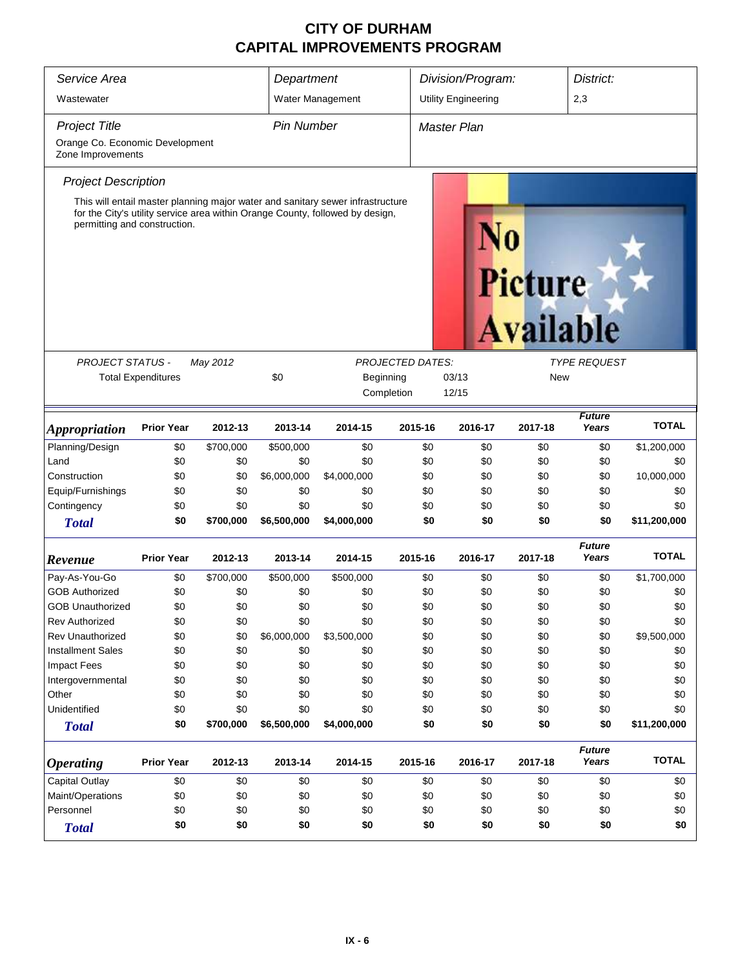| Service Area                                                                                                                                                                                    |                           |           | Department        |                  |                                                | Division/Program:<br>District: |                             |         |                        |              |
|-------------------------------------------------------------------------------------------------------------------------------------------------------------------------------------------------|---------------------------|-----------|-------------------|------------------|------------------------------------------------|--------------------------------|-----------------------------|---------|------------------------|--------------|
| Wastewater                                                                                                                                                                                      |                           |           |                   | Water Management |                                                | <b>Utility Engineering</b>     |                             |         | 2,3                    |              |
| <b>Project Title</b>                                                                                                                                                                            |                           |           | <b>Pin Number</b> |                  |                                                | <b>Master Plan</b>             |                             |         |                        |              |
| Orange Co. Economic Development<br>Zone Improvements                                                                                                                                            |                           |           |                   |                  |                                                |                                |                             |         |                        |              |
| <b>Project Description</b>                                                                                                                                                                      |                           |           |                   |                  |                                                |                                |                             |         |                        |              |
| This will entail master planning major water and sanitary sewer infrastructure<br>for the City's utility service area within Orange County, followed by design,<br>permitting and construction. |                           |           |                   |                  |                                                |                                | Picture<br><b>Available</b> |         |                        |              |
|                                                                                                                                                                                                 |                           |           |                   |                  |                                                |                                |                             |         |                        |              |
| <b>PROJECT STATUS -</b>                                                                                                                                                                         |                           | May 2012  |                   |                  | <b>PROJECTED DATES:</b><br><b>TYPE REQUEST</b> |                                |                             |         |                        |              |
|                                                                                                                                                                                                 | <b>Total Expenditures</b> |           | \$0               | Beginning        |                                                | 03/13<br><b>New</b>            |                             |         |                        |              |
|                                                                                                                                                                                                 |                           |           |                   |                  | Completion                                     | 12/15                          |                             |         |                        |              |
| <i><b>Appropriation</b></i>                                                                                                                                                                     | <b>Prior Year</b>         | 2012-13   | 2013-14           | 2014-15          | 2015-16                                        |                                | 2016-17                     | 2017-18 | <b>Future</b><br>Years | <b>TOTAL</b> |
| Planning/Design                                                                                                                                                                                 | \$0                       | \$700,000 | \$500,000         | \$0              |                                                | \$0                            | \$0                         | \$0     | \$0                    | \$1,200,000  |
| Land                                                                                                                                                                                            | \$0                       | \$0       | \$0               | \$0              |                                                | \$0                            | \$0                         | \$0     | \$0                    | \$0          |
| Construction                                                                                                                                                                                    | \$0                       | \$0       | \$6,000,000       | \$4,000,000      |                                                | \$0                            | \$0                         | \$0     | \$0                    | 10,000,000   |
| Equip/Furnishings                                                                                                                                                                               | \$0                       | \$0       | \$0               | \$0              |                                                | \$0                            | \$0                         | \$0     | \$0                    | \$0          |
| Contingency                                                                                                                                                                                     | \$0                       | \$0       | \$0               | \$0              |                                                | \$0                            | \$0                         | \$0     | \$0                    | \$0          |
| <b>Total</b>                                                                                                                                                                                    | \$0                       | \$700,000 | \$6,500,000       | \$4,000,000      |                                                | \$0                            | \$0                         | \$0     | \$0                    | \$11,200,000 |
| Revenue                                                                                                                                                                                         | <b>Prior Year</b>         | 2012-13   | 2013-14           | 2014-15          | 2015-16                                        |                                | 2016-17                     | 2017-18 | <b>Future</b><br>Years | <b>TOTAL</b> |
| Pay-As-You-Go                                                                                                                                                                                   | \$0                       | \$700,000 | \$500,000         | \$500,000        |                                                | \$0                            | \$0                         | \$0     | \$0                    | \$1,700,000  |
| <b>GOB Authorized</b>                                                                                                                                                                           | \$0                       | \$0       | \$0               | \$0              |                                                | \$0                            | \$0                         | \$0     | \$0                    | \$0          |
| <b>GOB Unauthorized</b>                                                                                                                                                                         | \$0                       | \$0       | \$0               | \$0              |                                                | \$0                            | \$0                         | \$0     | \$0                    | \$0          |
| <b>Rev Authorized</b>                                                                                                                                                                           | \$0                       | \$0       | \$0               | \$0              |                                                | \$0                            | \$0                         | \$0     | \$0                    | \$0          |
| <b>Rev Unauthorized</b>                                                                                                                                                                         | \$0                       | \$0       | \$6,000,000       | \$3,500,000      |                                                | \$0                            | \$0                         | \$0     | \$0                    | \$9,500,000  |
| <b>Installment Sales</b>                                                                                                                                                                        | \$0                       | \$0       | \$0               | \$0              |                                                | \$0                            | \$0                         | \$0     | \$0                    | \$0          |
| <b>Impact Fees</b>                                                                                                                                                                              | \$0                       | \$0       | \$0               | \$0              |                                                | \$0                            | \$0                         | \$0     | \$0                    | \$0          |
| Intergovernmental                                                                                                                                                                               | \$0                       | \$0       | \$0               | \$0              |                                                | \$0                            | \$0                         | \$0     | \$0                    | \$0          |
| Other                                                                                                                                                                                           | \$0                       | \$0       | \$0               | \$0              |                                                | \$0                            | \$0                         | \$0     | \$0                    | \$0          |
| Unidentified                                                                                                                                                                                    | \$0                       | \$0       | \$0               | \$0              |                                                | \$0                            | \$0                         | \$0     | \$0                    | \$0          |
| <b>Total</b>                                                                                                                                                                                    | \$0                       | \$700,000 | \$6,500,000       | \$4,000,000      |                                                | \$0                            | \$0                         | \$0     | \$0                    | \$11,200,000 |
| <i><b>Operating</b></i>                                                                                                                                                                         | <b>Prior Year</b>         | 2012-13   | 2013-14           | 2014-15          | 2015-16                                        |                                | 2016-17                     | 2017-18 | <b>Future</b><br>Years | <b>TOTAL</b> |
| <b>Capital Outlay</b>                                                                                                                                                                           | \$0                       | \$0       | \$0               | \$0              |                                                | \$0                            | \$0                         | \$0     | \$0                    | \$0          |
| Maint/Operations                                                                                                                                                                                | \$0                       | \$0       | \$0               | \$0              |                                                | \$0                            | \$0                         | \$0     | \$0                    | \$0          |
| Personnel                                                                                                                                                                                       | \$0                       | \$0       | \$0               | \$0              |                                                | \$0                            | \$0                         | \$0     | \$0                    | \$0          |
| <b>Total</b>                                                                                                                                                                                    | \$0                       | \$0       | \$0               | \$0              |                                                | \$0                            | \$0                         | \$0     | \$0                    | \$0          |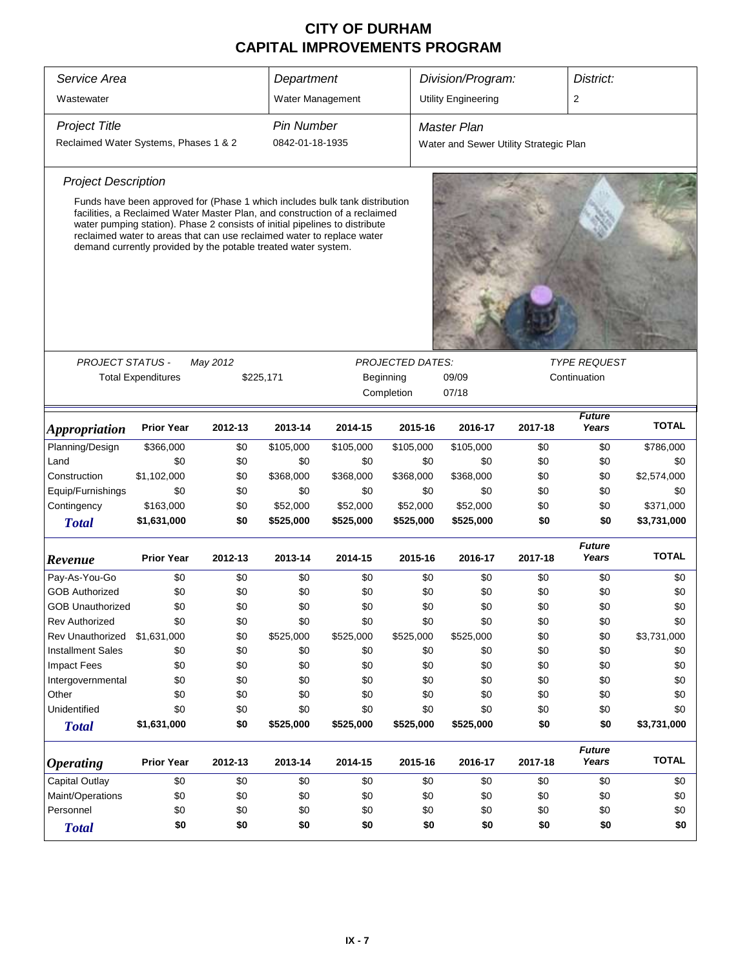| Service Area                          |                                                                                                                                                                                                                                                                                                                                                                                      |          | Department        |           |                         | Division/Program:                      |         | District:                           |              |
|---------------------------------------|--------------------------------------------------------------------------------------------------------------------------------------------------------------------------------------------------------------------------------------------------------------------------------------------------------------------------------------------------------------------------------------|----------|-------------------|-----------|-------------------------|----------------------------------------|---------|-------------------------------------|--------------|
| Wastewater                            |                                                                                                                                                                                                                                                                                                                                                                                      |          | Water Management  |           |                         | <b>Utility Engineering</b>             |         | 2                                   |              |
| <b>Project Title</b>                  |                                                                                                                                                                                                                                                                                                                                                                                      |          | <b>Pin Number</b> |           |                         | <b>Master Plan</b>                     |         |                                     |              |
| Reclaimed Water Systems, Phases 1 & 2 |                                                                                                                                                                                                                                                                                                                                                                                      |          | 0842-01-18-1935   |           |                         | Water and Sewer Utility Strategic Plan |         |                                     |              |
| <b>Project Description</b>            |                                                                                                                                                                                                                                                                                                                                                                                      |          |                   |           |                         |                                        |         |                                     |              |
|                                       | Funds have been approved for (Phase 1 which includes bulk tank distribution<br>facilities, a Reclaimed Water Master Plan, and construction of a reclaimed<br>water pumping station). Phase 2 consists of initial pipelines to distribute<br>reclaimed water to areas that can use reclaimed water to replace water<br>demand currently provided by the potable treated water system. |          |                   |           |                         |                                        |         |                                     |              |
|                                       |                                                                                                                                                                                                                                                                                                                                                                                      |          |                   |           |                         |                                        |         |                                     |              |
| <b>PROJECT STATUS -</b>               |                                                                                                                                                                                                                                                                                                                                                                                      | May 2012 |                   |           | <b>PROJECTED DATES:</b> |                                        |         | <b>TYPE REQUEST</b><br>Continuation |              |
|                                       | <b>Total Expenditures</b>                                                                                                                                                                                                                                                                                                                                                            |          | \$225,171         |           | Beginning               | 09/09                                  |         |                                     |              |
|                                       |                                                                                                                                                                                                                                                                                                                                                                                      |          |                   |           | Completion              | 07/18                                  |         |                                     |              |
| <i><b>Appropriation</b></i>           | <b>Prior Year</b>                                                                                                                                                                                                                                                                                                                                                                    | 2012-13  | 2013-14           | 2014-15   | 2015-16                 | 2016-17                                | 2017-18 | <b>Future</b><br>Years              | <b>TOTAL</b> |
| Planning/Design                       | \$366,000                                                                                                                                                                                                                                                                                                                                                                            | \$0      | \$105,000         | \$105,000 | \$105,000               | \$105,000                              | \$0     | \$0                                 | \$786,000    |
| Land                                  | \$0                                                                                                                                                                                                                                                                                                                                                                                  | \$0      | \$0               | \$0       | \$0                     | \$0                                    | \$0     | \$0                                 | \$0          |
| Construction                          | \$1,102,000                                                                                                                                                                                                                                                                                                                                                                          | \$0      | \$368,000         | \$368,000 | \$368,000               | \$368,000                              | \$0     | \$0                                 | \$2,574,000  |
| Equip/Furnishings                     | \$0                                                                                                                                                                                                                                                                                                                                                                                  | \$0      | \$0               | \$0       | \$0                     | \$0                                    | \$0     | \$0                                 | \$0          |
| Contingency                           | \$163,000                                                                                                                                                                                                                                                                                                                                                                            | \$0      | \$52,000          | \$52,000  | \$52,000                | \$52,000                               | \$0     | \$0                                 | \$371,000    |
| <b>Total</b>                          | \$1,631,000                                                                                                                                                                                                                                                                                                                                                                          | \$0      | \$525,000         | \$525,000 | \$525,000               | \$525,000                              | \$0     | \$0                                 | \$3,731,000  |
| Revenue                               | <b>Prior Year</b>                                                                                                                                                                                                                                                                                                                                                                    | 2012-13  | 2013-14           | 2014-15   | 2015-16                 | 2016-17                                | 2017-18 | <b>Future</b><br>Years              | <b>TOTAL</b> |
| Pay-As-You-Go                         | \$0                                                                                                                                                                                                                                                                                                                                                                                  | \$0      | \$0               | \$0       | \$0                     | \$0                                    | \$0     | \$0                                 | \$0          |
| <b>GOB Authorized</b>                 | \$0                                                                                                                                                                                                                                                                                                                                                                                  | \$0      | \$0               | \$0       | \$0                     | \$0                                    | \$0     | \$0                                 | \$0          |
| <b>GOB Unauthorized</b>               | \$0                                                                                                                                                                                                                                                                                                                                                                                  | \$0      | \$0               | \$0       | \$0                     | \$0                                    | \$0     | \$0                                 | \$0          |
| Rev Authorized                        | \$0                                                                                                                                                                                                                                                                                                                                                                                  | \$0      | \$0               | \$0       | \$0                     | \$0                                    | \$0     | \$0                                 | \$0          |
| Rev Unauthorized                      | \$1,631,000                                                                                                                                                                                                                                                                                                                                                                          | \$0      | \$525,000         | \$525,000 | \$525,000               | \$525,000                              | \$0     | \$0                                 | \$3,731,000  |
| <b>Installment Sales</b>              | \$0                                                                                                                                                                                                                                                                                                                                                                                  | \$0      | \$0               | \$0       | \$0                     | \$0                                    | \$0     | \$0                                 | \$0          |
| <b>Impact Fees</b>                    | \$0                                                                                                                                                                                                                                                                                                                                                                                  | \$0      | \$0               | \$0       | \$0                     | \$0                                    | \$0     | \$0                                 | \$0          |
| Intergovernmental                     | \$0                                                                                                                                                                                                                                                                                                                                                                                  | \$0      | \$0               | \$0       | \$0                     | \$0                                    | \$0     | \$0                                 | \$0          |
| Other                                 | \$0                                                                                                                                                                                                                                                                                                                                                                                  | \$0      | \$0               | \$0       | \$0                     | \$0                                    | \$0     | \$0                                 | \$0          |
| Unidentified                          | \$0                                                                                                                                                                                                                                                                                                                                                                                  | \$0      | \$0               | \$0       | \$0                     | \$0                                    | \$0     | \$0                                 | \$0          |
| <b>Total</b>                          | \$1,631,000                                                                                                                                                                                                                                                                                                                                                                          | \$0      | \$525,000         | \$525,000 | \$525,000               | \$525,000                              | \$0     | \$0                                 | \$3,731,000  |
| <b>Operating</b>                      | <b>Prior Year</b>                                                                                                                                                                                                                                                                                                                                                                    | 2012-13  | 2013-14           | 2014-15   | 2015-16                 | 2016-17                                | 2017-18 | <b>Future</b><br>Years              | <b>TOTAL</b> |
| Capital Outlay                        | \$0                                                                                                                                                                                                                                                                                                                                                                                  | \$0      | \$0               | \$0       | \$0                     | \$0                                    | \$0     | \$0                                 | \$0          |
| Maint/Operations                      | \$0                                                                                                                                                                                                                                                                                                                                                                                  | \$0      | \$0               | \$0       | \$0                     | \$0                                    | \$0     | \$0                                 | \$0          |
| Personnel                             | \$0                                                                                                                                                                                                                                                                                                                                                                                  | \$0      | \$0               | \$0       | \$0                     | \$0                                    | \$0     | \$0                                 | \$0          |
| <b>Total</b>                          | \$0                                                                                                                                                                                                                                                                                                                                                                                  | \$0      | \$0               | \$0       | \$0                     | \$0                                    | \$0     | \$0                                 | \$0          |
|                                       |                                                                                                                                                                                                                                                                                                                                                                                      |          |                   |           |                         |                                        |         |                                     |              |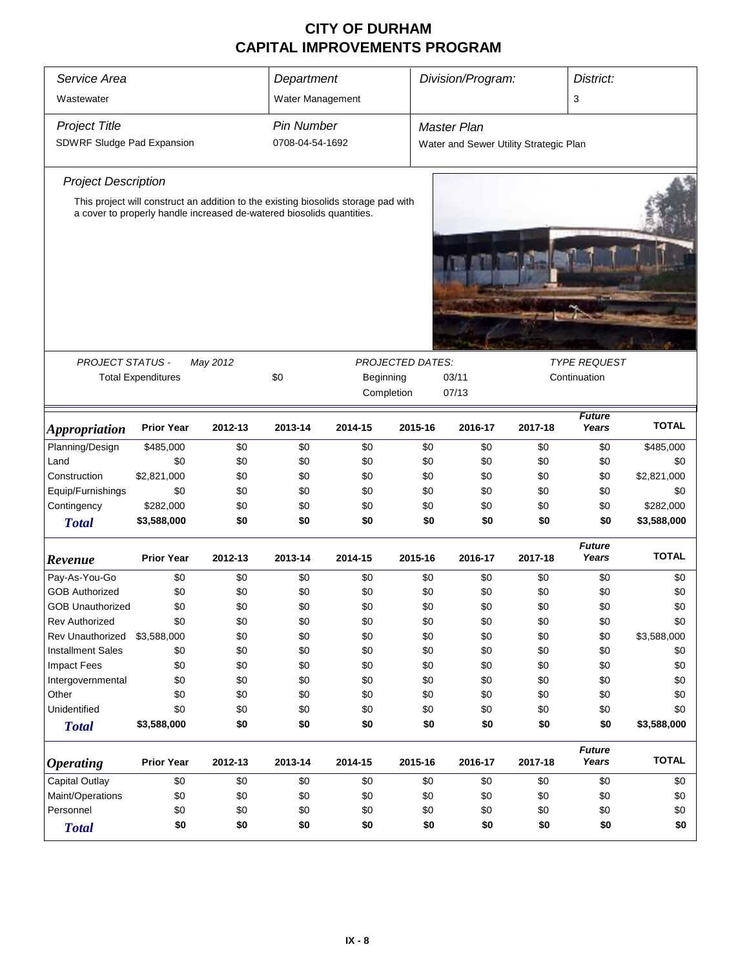| Service Area<br>Wastewater                         | Department<br>Water Management                                                                                                                              |          |                                      | Division/Program:                                                    |         | District:<br>3                                               |         |                                     |              |  |
|----------------------------------------------------|-------------------------------------------------------------------------------------------------------------------------------------------------------------|----------|--------------------------------------|----------------------------------------------------------------------|---------|--------------------------------------------------------------|---------|-------------------------------------|--------------|--|
| <b>Project Title</b><br>SDWRF Sludge Pad Expansion |                                                                                                                                                             |          | <b>Pin Number</b><br>0708-04-54-1692 |                                                                      |         | <b>Master Plan</b><br>Water and Sewer Utility Strategic Plan |         |                                     |              |  |
| <b>Project Description</b>                         |                                                                                                                                                             |          |                                      |                                                                      |         |                                                              |         |                                     |              |  |
|                                                    | This project will construct an addition to the existing biosolids storage pad with<br>a cover to properly handle increased de-watered biosolids quantities. |          |                                      |                                                                      |         |                                                              |         |                                     |              |  |
|                                                    |                                                                                                                                                             |          |                                      |                                                                      |         |                                                              |         |                                     |              |  |
|                                                    |                                                                                                                                                             |          |                                      |                                                                      |         |                                                              |         |                                     |              |  |
| <b>PROJECT STATUS -</b>                            | <b>Total Expenditures</b>                                                                                                                                   | May 2012 | \$0                                  | <b>PROJECTED DATES:</b><br>Beginning<br>03/11<br>Completion<br>07/13 |         |                                                              |         | <b>TYPE REQUEST</b><br>Continuation |              |  |
| <b>Appropriation</b>                               | <b>Prior Year</b>                                                                                                                                           | 2012-13  | 2013-14                              | 2014-15                                                              | 2015-16 | 2016-17                                                      | 2017-18 | <b>Future</b><br>Years              | <b>TOTAL</b> |  |
| Planning/Design                                    | \$485,000                                                                                                                                                   | \$0      | \$0                                  | \$0                                                                  | \$0     | \$0                                                          | \$0     | \$0                                 | \$485,000    |  |
| Land                                               | \$0                                                                                                                                                         | \$0      | \$0                                  | \$0                                                                  | \$0     | \$0                                                          | \$0     | \$0                                 | \$0          |  |
| Construction                                       | \$2,821,000                                                                                                                                                 | \$0      | \$0                                  | \$0                                                                  | \$0     | \$0                                                          | \$0     | \$0                                 | \$2,821,000  |  |
| Equip/Furnishings                                  | \$0                                                                                                                                                         | \$0      | \$0                                  | \$0                                                                  | \$0     | \$0                                                          | \$0     | \$0                                 | \$0          |  |
| Contingency                                        | \$282,000                                                                                                                                                   | \$0      | \$0                                  | \$0                                                                  | \$0     | \$0                                                          | \$0     | \$0                                 | \$282,000    |  |
| <b>Total</b>                                       | \$3,588,000                                                                                                                                                 | \$0      | \$0                                  | \$0                                                                  | \$0     | \$0                                                          | \$0     | \$0                                 | \$3,588,000  |  |
| Revenue                                            | <b>Prior Year</b>                                                                                                                                           | 2012-13  | 2013-14                              | 2014-15                                                              | 2015-16 | 2016-17                                                      | 2017-18 | <b>Future</b><br>Years              | <b>TOTAL</b> |  |
| Pay-As-You-Go                                      | \$0                                                                                                                                                         | \$0      | \$0                                  | \$0                                                                  | \$0     | \$0                                                          | \$0     | \$0                                 | \$0          |  |
| <b>GOB Authorized</b>                              | \$0                                                                                                                                                         | \$0      | \$0                                  | \$0                                                                  | \$0     | \$0                                                          | \$0     | \$0                                 | \$0          |  |
| <b>GOB Unauthorized</b>                            | \$0                                                                                                                                                         | \$0      | \$0                                  | \$0                                                                  | \$0     | \$0                                                          | \$0     | \$0                                 | \$0          |  |
| Rev Authorized                                     | \$0                                                                                                                                                         | \$0      | \$0                                  | \$0                                                                  | \$0     | \$0                                                          | \$0     | \$0                                 | \$0          |  |
| <b>Rev Unauthorized</b>                            | \$3,588,000                                                                                                                                                 | \$0      | \$0                                  | \$0                                                                  | \$0     | \$0                                                          | \$0     | \$0                                 | \$3,588,000  |  |
| <b>Installment Sales</b>                           | \$0                                                                                                                                                         | \$0      | \$0                                  | \$0                                                                  | \$0     | \$0                                                          | \$0     | \$0                                 | \$0          |  |
| <b>Impact Fees</b>                                 | \$0                                                                                                                                                         | \$0      | \$0                                  | \$0                                                                  | \$0     | \$0                                                          | \$0     | \$0                                 | \$0          |  |
| Intergovernmental                                  | \$0                                                                                                                                                         | \$0      | \$0                                  | \$0                                                                  | \$0     | \$0                                                          | \$0     | \$0                                 | \$0          |  |
| Other                                              | \$0                                                                                                                                                         | \$0      | \$0                                  | \$0                                                                  | \$0     | \$0                                                          | \$0     | \$0                                 | \$0          |  |
| Unidentified                                       | \$0                                                                                                                                                         | \$0      | \$0                                  | \$0                                                                  | \$0     | \$0                                                          | \$0     | \$0                                 | \$0          |  |
| <b>Total</b>                                       | \$3,588,000                                                                                                                                                 | \$0      | \$0                                  | \$0                                                                  | \$0     | \$0                                                          | \$0     | \$0                                 | \$3,588,000  |  |
| <b>Operating</b>                                   | <b>Prior Year</b>                                                                                                                                           | 2012-13  | 2013-14                              | 2014-15                                                              | 2015-16 | 2016-17                                                      | 2017-18 | <b>Future</b><br>Years              | <b>TOTAL</b> |  |
| <b>Capital Outlay</b>                              | \$0                                                                                                                                                         | \$0      | \$0                                  | \$0                                                                  | \$0     | \$0                                                          | \$0     | \$0                                 | \$0          |  |
| Maint/Operations                                   | \$0                                                                                                                                                         | \$0      | \$0                                  | \$0                                                                  | \$0     | \$0                                                          | \$0     | \$0                                 | \$0          |  |
| Personnel<br>\$0<br>\$0<br>\$0<br>\$0<br>\$0       |                                                                                                                                                             |          |                                      |                                                                      |         | \$0                                                          | \$0     | \$0                                 | \$0          |  |
| <b>Total</b>                                       | \$0                                                                                                                                                         | \$0      | \$0                                  | \$0                                                                  | \$0     | \$0                                                          | \$0     | \$0                                 | \$0          |  |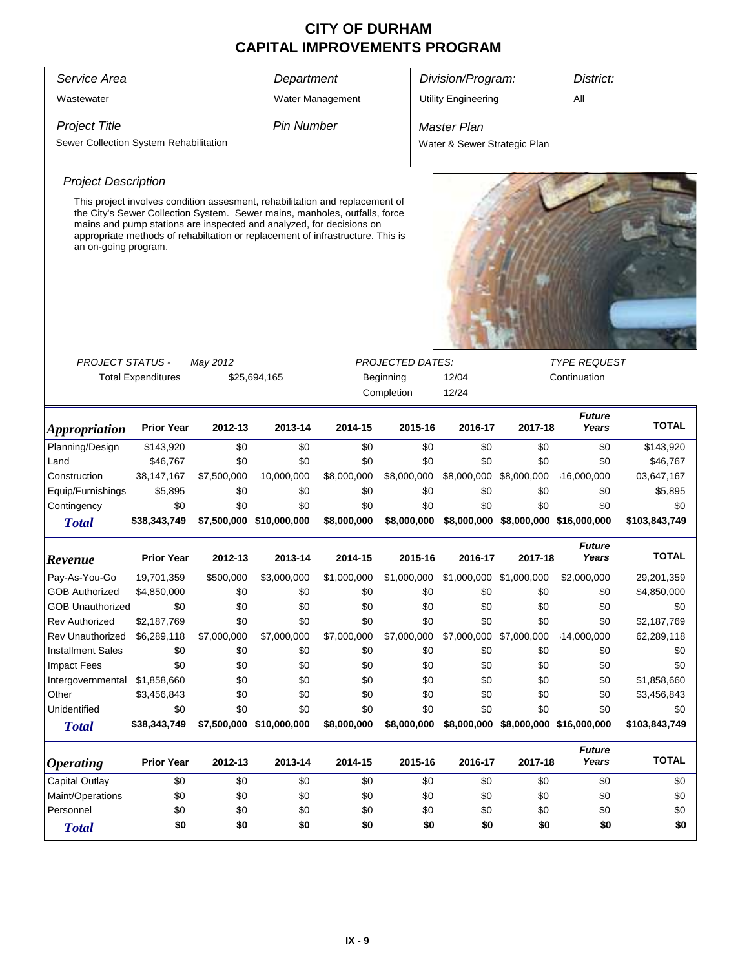| Service Area<br>Department                                     |                                                                                                                                                                                                                                                                                                                      |             |                          |                  |                                      | Division/Program:<br>District:                     |                                      |                        |               |  |
|----------------------------------------------------------------|----------------------------------------------------------------------------------------------------------------------------------------------------------------------------------------------------------------------------------------------------------------------------------------------------------------------|-------------|--------------------------|------------------|--------------------------------------|----------------------------------------------------|--------------------------------------|------------------------|---------------|--|
| Wastewater                                                     |                                                                                                                                                                                                                                                                                                                      |             |                          | Water Management |                                      | <b>Utility Engineering</b>                         |                                      | All                    |               |  |
| <b>Project Title</b><br>Sewer Collection System Rehabilitation |                                                                                                                                                                                                                                                                                                                      |             | <b>Pin Number</b>        |                  |                                      | <b>Master Plan</b><br>Water & Sewer Strategic Plan |                                      |                        |               |  |
| <b>Project Description</b>                                     |                                                                                                                                                                                                                                                                                                                      |             |                          |                  |                                      |                                                    |                                      |                        |               |  |
| an on-going program.                                           | This project involves condition assesment, rehabilitation and replacement of<br>the City's Sewer Collection System. Sewer mains, manholes, outfalls, force<br>mains and pump stations are inspected and analyzed, for decisions on<br>appropriate methods of rehabiltation or replacement of infrastructure. This is |             |                          |                  |                                      |                                                    |                                      |                        |               |  |
| <b>PROJECT STATUS -</b>                                        | <b>TYPE REQUEST</b>                                                                                                                                                                                                                                                                                                  |             |                          |                  |                                      |                                                    |                                      |                        |               |  |
|                                                                | <b>Total Expenditures</b>                                                                                                                                                                                                                                                                                            | May 2012    | \$25,694,165             |                  | <b>PROJECTED DATES:</b><br>Beginning | 12/04                                              |                                      | Continuation           |               |  |
|                                                                |                                                                                                                                                                                                                                                                                                                      |             |                          |                  | Completion                           | 12/24                                              |                                      |                        |               |  |
| <i><b>Appropriation</b></i>                                    | <b>Prior Year</b>                                                                                                                                                                                                                                                                                                    | 2012-13     | 2013-14                  | 2014-15          | 2015-16                              | 2016-17                                            | 2017-18                              | <b>Future</b><br>Years | <b>TOTAL</b>  |  |
| Planning/Design                                                | \$143,920                                                                                                                                                                                                                                                                                                            | \$0         | \$0                      | \$0              | \$0                                  | \$0                                                | \$0                                  | \$0                    | \$143,920     |  |
| Land                                                           | \$46,767                                                                                                                                                                                                                                                                                                             | \$0         | \$0                      | \$0              | \$0                                  | \$0                                                | \$0                                  | \$0                    | \$46,767      |  |
| Construction                                                   | 38, 147, 167                                                                                                                                                                                                                                                                                                         | \$7,500,000 | 10,000,000               | \$8,000,000      | \$8,000,000                          | \$8,000,000                                        | \$8,000,000                          | 16,000,000             | 03,647,167    |  |
| Equip/Furnishings                                              | \$5,895                                                                                                                                                                                                                                                                                                              | \$0         | \$0                      | \$0              | \$0                                  | \$0                                                | \$0                                  | \$0                    | \$5,895       |  |
| Contingency                                                    | \$0                                                                                                                                                                                                                                                                                                                  | \$0         | \$0                      | \$0              | \$0                                  | \$0                                                | \$0                                  | \$0                    | \$0           |  |
| <b>Total</b>                                                   | \$38,343,749                                                                                                                                                                                                                                                                                                         |             | \$7,500,000 \$10,000,000 | \$8,000,000      | \$8,000,000                          |                                                    | \$8,000,000 \$8,000,000 \$16,000,000 |                        | \$103,843,749 |  |
| Revenue                                                        | <b>Prior Year</b>                                                                                                                                                                                                                                                                                                    | 2012-13     | 2013-14                  | 2014-15          | 2015-16                              | 2016-17                                            | 2017-18                              | <b>Future</b><br>Years | <b>TOTAL</b>  |  |
| Pay-As-You-Go                                                  | 19,701,359                                                                                                                                                                                                                                                                                                           | \$500,000   | \$3,000,000              | \$1,000,000      | \$1,000,000                          | \$1,000,000 \$1,000,000                            |                                      | \$2,000,000            | 29,201,359    |  |
| <b>GOB Authorized</b>                                          | \$4,850,000                                                                                                                                                                                                                                                                                                          | \$0         | \$0                      | \$0              | \$0                                  | \$0                                                | \$0                                  | \$0                    | \$4,850,000   |  |
| <b>GOB Unauthorized</b>                                        | \$0                                                                                                                                                                                                                                                                                                                  | \$0         | \$0                      | \$0              | \$0                                  | \$0                                                | \$0                                  | \$0                    | \$0           |  |
| <b>Rev Authorized</b>                                          | \$2,187,769                                                                                                                                                                                                                                                                                                          | \$0         | \$0                      | \$0              | \$0                                  | \$0                                                | \$0                                  | \$0                    | \$2,187,769   |  |
| Rev Unauthorized                                               | \$6,289,118                                                                                                                                                                                                                                                                                                          | \$7,000,000 | \$7,000,000              | \$7,000,000      | \$7,000,000                          | \$7,000,000 \$7,000,000                            |                                      | 14,000,000             | 62,289,118    |  |
| <b>Installment Sales</b>                                       | \$0                                                                                                                                                                                                                                                                                                                  | \$0         | \$0                      | \$0              | \$0                                  | \$0                                                | \$0                                  | \$0                    | \$0           |  |
| <b>Impact Fees</b>                                             | \$0                                                                                                                                                                                                                                                                                                                  | \$0         | \$0                      | \$0              | \$0                                  | \$0                                                | \$0                                  | \$0                    | \$0           |  |
| Intergovernmental                                              | \$1,858,660                                                                                                                                                                                                                                                                                                          | \$0         | \$0                      | \$0              | \$0                                  | \$0                                                | \$0                                  | \$0                    | \$1,858,660   |  |
| Other                                                          | \$3,456,843                                                                                                                                                                                                                                                                                                          | \$0         | \$0                      | \$0              | \$0                                  | \$0                                                | \$0                                  | \$0                    | \$3,456,843   |  |
| Unidentified                                                   | \$0                                                                                                                                                                                                                                                                                                                  | \$0         | \$0                      | \$0              | \$0                                  | \$0                                                | \$0                                  | \$0                    | \$0           |  |
| <b>Total</b>                                                   | \$38,343,749                                                                                                                                                                                                                                                                                                         |             | \$7,500,000 \$10,000,000 | \$8,000,000      | \$8,000,000                          |                                                    | \$8,000,000 \$8,000,000 \$16,000,000 |                        | \$103,843,749 |  |
| <i><b>Operating</b></i>                                        | <b>Prior Year</b>                                                                                                                                                                                                                                                                                                    | 2012-13     | 2013-14                  | 2014-15          | 2015-16                              | 2016-17                                            | 2017-18                              | <b>Future</b><br>Years | <b>TOTAL</b>  |  |
| Capital Outlay                                                 | \$0                                                                                                                                                                                                                                                                                                                  | \$0         | \$0                      | \$0              | \$0                                  | \$0                                                | \$0                                  | \$0                    | \$0           |  |
| Maint/Operations                                               | \$0                                                                                                                                                                                                                                                                                                                  | \$0         | \$0                      | \$0              | \$0                                  | \$0                                                | \$0                                  | \$0                    | \$0           |  |
| Personnel                                                      | \$0                                                                                                                                                                                                                                                                                                                  | \$0         | \$0                      | \$0              | \$0                                  | \$0                                                | \$0                                  | \$0                    | \$0           |  |
| <b>Total</b>                                                   | \$0<br>\$0<br>\$0<br>\$0<br>\$0<br>\$0<br>\$0<br>\$0                                                                                                                                                                                                                                                                 |             |                          |                  |                                      |                                                    |                                      |                        | \$0           |  |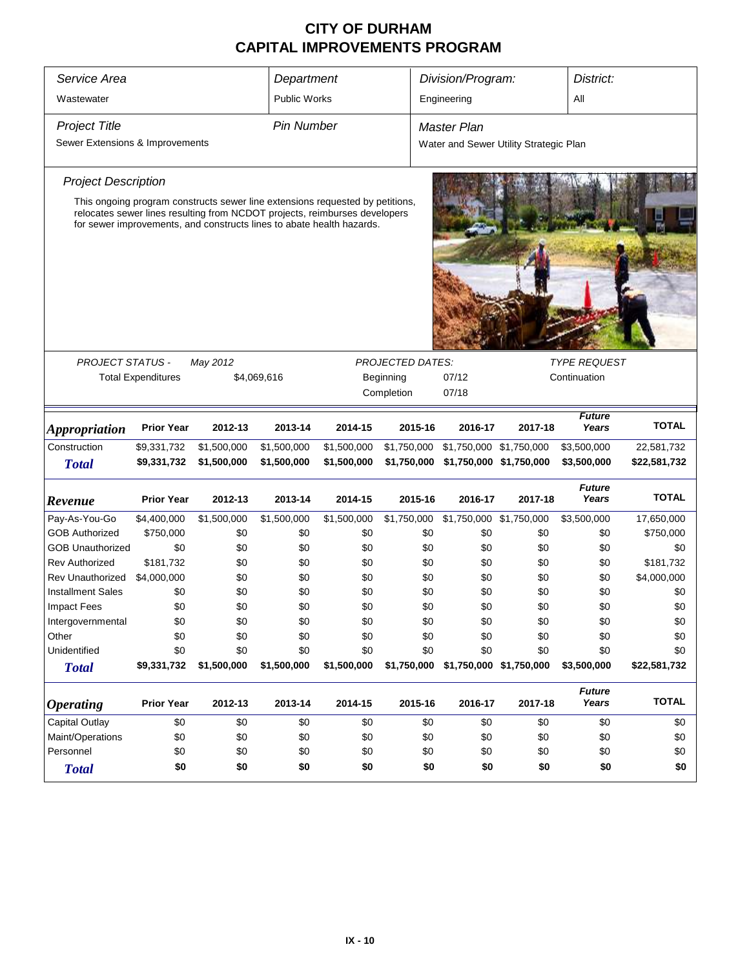| Service Area                         | Division/Program:<br>District:<br>Department |                                                                                                                                                     |                            |                            |                         |                                                                |                         |                            |                            |
|--------------------------------------|----------------------------------------------|-----------------------------------------------------------------------------------------------------------------------------------------------------|----------------------------|----------------------------|-------------------------|----------------------------------------------------------------|-------------------------|----------------------------|----------------------------|
| Wastewater                           |                                              |                                                                                                                                                     | <b>Public Works</b>        |                            |                         | Engineering                                                    |                         | All                        |                            |
| <b>Project Title</b>                 |                                              |                                                                                                                                                     | <b>Pin Number</b>          |                            |                         | Master Plan                                                    |                         |                            |                            |
| Sewer Extensions & Improvements      |                                              |                                                                                                                                                     |                            |                            |                         | Water and Sewer Utility Strategic Plan                         |                         |                            |                            |
| <b>Project Description</b>           |                                              |                                                                                                                                                     |                            |                            |                         |                                                                |                         |                            |                            |
|                                      |                                              | This ongoing program constructs sewer line extensions requested by petitions,                                                                       |                            |                            |                         |                                                                |                         |                            |                            |
|                                      |                                              | relocates sewer lines resulting from NCDOT projects, reimburses developers<br>for sewer improvements, and constructs lines to abate health hazards. |                            |                            |                         |                                                                |                         |                            |                            |
|                                      |                                              |                                                                                                                                                     |                            |                            |                         |                                                                |                         |                            |                            |
|                                      |                                              |                                                                                                                                                     |                            |                            |                         |                                                                |                         |                            |                            |
|                                      |                                              |                                                                                                                                                     |                            |                            |                         |                                                                |                         |                            |                            |
|                                      |                                              |                                                                                                                                                     |                            |                            |                         |                                                                |                         |                            |                            |
|                                      |                                              |                                                                                                                                                     |                            |                            |                         |                                                                |                         |                            |                            |
| PROJECT STATUS -                     |                                              | May 2012                                                                                                                                            |                            |                            | <b>PROJECTED DATES:</b> |                                                                |                         | <b>TYPE REQUEST</b>        |                            |
|                                      | <b>Total Expenditures</b>                    |                                                                                                                                                     | \$4,069,616                |                            | Beginning               | 07/12<br>Continuation                                          |                         |                            |                            |
|                                      |                                              |                                                                                                                                                     |                            |                            | Completion              | 07/18                                                          |                         |                            |                            |
|                                      |                                              |                                                                                                                                                     |                            |                            |                         |                                                                |                         | <b>Future</b>              | <b>TOTAL</b>               |
| <b>Appropriation</b><br>Construction | <b>Prior Year</b>                            | 2012-13                                                                                                                                             | 2013-14                    | 2014-15                    | 2015-16                 | 2016-17                                                        | 2017-18                 | Years                      |                            |
| <b>Total</b>                         | \$9,331,732<br>\$9,331,732                   | \$1,500,000<br>\$1,500,000                                                                                                                          | \$1,500,000<br>\$1,500,000 | \$1,500,000<br>\$1,500,000 | \$1,750,000             | \$1,750,000 \$1,750,000<br>\$1,750,000 \$1,750,000 \$1,750,000 |                         | \$3,500,000<br>\$3,500,000 | 22,581,732<br>\$22,581,732 |
|                                      |                                              |                                                                                                                                                     |                            |                            |                         |                                                                |                         | <b>Future</b>              |                            |
| Revenue                              | <b>Prior Year</b>                            | 2012-13                                                                                                                                             | 2013-14                    | 2014-15                    | 2015-16                 | 2016-17                                                        | 2017-18                 | Years                      | <b>TOTAL</b>               |
| Pay-As-You-Go                        | \$4,400,000                                  | \$1,500,000                                                                                                                                         | \$1,500,000                | \$1,500,000                | \$1,750,000             | \$1,750,000 \$1,750,000                                        |                         | \$3,500,000                | 17,650,000                 |
| <b>GOB Authorized</b>                | \$750,000                                    | \$0                                                                                                                                                 | \$0                        | \$0                        | \$0                     | \$0                                                            | \$0                     | \$0                        | \$750,000                  |
| <b>GOB Unauthorized</b>              | \$0                                          | \$0                                                                                                                                                 | \$0                        | \$0                        | \$0                     | \$0                                                            | \$0                     | \$0                        | \$0                        |
| <b>Rev Authorized</b>                | \$181,732                                    | \$0                                                                                                                                                 | \$0                        | \$0                        | \$0                     | \$0                                                            | \$0                     | \$0                        | \$181,732                  |
| <b>Rev Unauthorized</b>              | \$4,000,000                                  | \$0                                                                                                                                                 | \$0                        | \$0                        | \$0                     | \$0                                                            | \$0                     | \$0                        | \$4,000,000                |
| <b>Installment Sales</b>             | \$0                                          | \$0                                                                                                                                                 | \$0                        | \$0                        | \$0                     | \$0                                                            | \$0                     | \$0                        | \$0                        |
| <b>Impact Fees</b>                   | \$0                                          | \$0                                                                                                                                                 | \$0                        | \$0                        | \$0                     | \$0                                                            | \$0                     | \$0                        | \$0                        |
| Intergovernmental                    | \$0                                          | \$0                                                                                                                                                 | \$0                        | \$0                        | \$0                     | \$0                                                            | \$0                     | \$0                        | \$0                        |
| Other                                | \$0                                          | \$0                                                                                                                                                 | \$0                        | \$0                        | \$0                     | \$0                                                            | \$0                     | \$0                        | \$0                        |
| Unidentified                         | \$0                                          | \$0                                                                                                                                                 | \$0                        | \$0                        | \$0                     | \$0                                                            | \$0                     | \$0                        | \$0                        |
| <b>Total</b>                         | \$9,331,732                                  | \$1,500,000                                                                                                                                         | \$1,500,000                | \$1,500,000                | \$1,750,000             |                                                                | \$1,750,000 \$1,750,000 | \$3,500,000                | \$22,581,732               |
| <i><b>Operating</b></i>              | <b>Prior Year</b>                            | 2012-13                                                                                                                                             | 2013-14                    | 2014-15                    | 2015-16                 | 2016-17                                                        | 2017-18                 | <b>Future</b><br>Years     | <b>TOTAL</b>               |
| Capital Outlay                       | \$0                                          | \$0                                                                                                                                                 | \$0                        | \$0                        | \$0                     | \$0                                                            | \$0                     | \$0                        | \$0                        |
| Maint/Operations                     | \$0                                          | \$0                                                                                                                                                 | \$0                        | \$0                        | \$0                     | \$0                                                            | \$0                     | \$0                        | \$0                        |
| Personnel                            | \$0                                          | \$0                                                                                                                                                 | \$0                        | \$0                        | \$0                     | \$0                                                            | \$0                     | \$0                        | \$0                        |
| <b>Total</b>                         | \$0                                          | \$0                                                                                                                                                 | \$0                        | \$0                        | \$0                     | \$0                                                            | \$0                     | \$0                        | \$0                        |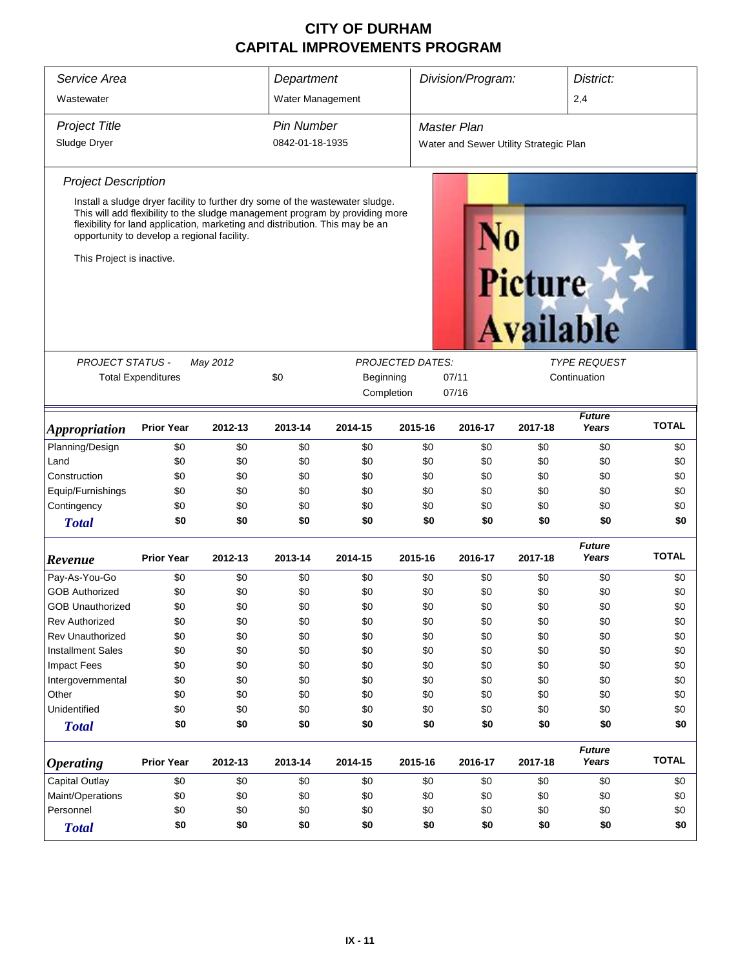| Service Area<br>Wastewater  |                                                                                                                                                                                                                                                                                              |          | Department<br>Water Management |            | Division/Program:<br>District:<br>2,4 |                                        |                  |                        |              |  |  |
|-----------------------------|----------------------------------------------------------------------------------------------------------------------------------------------------------------------------------------------------------------------------------------------------------------------------------------------|----------|--------------------------------|------------|---------------------------------------|----------------------------------------|------------------|------------------------|--------------|--|--|
|                             |                                                                                                                                                                                                                                                                                              |          |                                |            |                                       |                                        |                  |                        |              |  |  |
| <b>Project Title</b>        |                                                                                                                                                                                                                                                                                              |          | <b>Pin Number</b>              |            |                                       | <b>Master Plan</b>                     |                  |                        |              |  |  |
| Sludge Dryer                |                                                                                                                                                                                                                                                                                              |          | 0842-01-18-1935                |            |                                       | Water and Sewer Utility Strategic Plan |                  |                        |              |  |  |
| <b>Project Description</b>  |                                                                                                                                                                                                                                                                                              |          |                                |            |                                       |                                        |                  |                        |              |  |  |
| This Project is inactive.   | Install a sludge dryer facility to further dry some of the wastewater sludge.<br>This will add flexibility to the sludge management program by providing more<br>flexibility for land application, marketing and distribution. This may be an<br>opportunity to develop a regional facility. |          |                                |            |                                       | <b>Picture</b>                         | <b>Available</b> |                        |              |  |  |
|                             |                                                                                                                                                                                                                                                                                              |          |                                |            |                                       |                                        |                  |                        |              |  |  |
| PROJECT STATUS -            |                                                                                                                                                                                                                                                                                              | May 2012 |                                |            | <b>PROJECTED DATES:</b>               |                                        |                  | <b>TYPE REQUEST</b>    |              |  |  |
|                             | <b>Total Expenditures</b>                                                                                                                                                                                                                                                                    |          | \$0                            | Beginning  |                                       | 07/11<br>07/16                         |                  | Continuation           |              |  |  |
|                             |                                                                                                                                                                                                                                                                                              |          |                                | Completion |                                       |                                        |                  |                        |              |  |  |
| <i><b>Appropriation</b></i> | <b>Prior Year</b>                                                                                                                                                                                                                                                                            | 2012-13  | 2013-14                        | 2014-15    | 2015-16                               | 2016-17                                | 2017-18          | <b>Future</b><br>Years | <b>TOTAL</b> |  |  |
| Planning/Design             | \$0                                                                                                                                                                                                                                                                                          | \$0      | \$0                            | \$0        | \$0                                   | \$0                                    | \$0              | \$0                    | \$0          |  |  |
| Land                        | \$0                                                                                                                                                                                                                                                                                          | \$0      | \$0                            | \$0        | \$0                                   | \$0                                    | \$0              | \$0                    | \$0          |  |  |
| Construction                | \$0                                                                                                                                                                                                                                                                                          | \$0      | \$0                            | \$0        | \$0                                   | \$0                                    | \$0              | \$0                    | \$0          |  |  |
| Equip/Furnishings           | \$0                                                                                                                                                                                                                                                                                          | \$0      | \$0                            | \$0        | \$0                                   | \$0                                    | \$0              | \$0                    | \$0          |  |  |
| Contingency                 | \$0                                                                                                                                                                                                                                                                                          | \$0      | \$0                            | \$0        | \$0                                   | \$0                                    | \$0              | \$0                    | \$0          |  |  |
| <b>Total</b>                | \$0                                                                                                                                                                                                                                                                                          | \$0      | \$0                            | \$0        | \$0                                   | \$0                                    | \$0              | \$0                    | \$0          |  |  |
| Revenue                     | <b>Prior Year</b>                                                                                                                                                                                                                                                                            | 2012-13  | 2013-14                        | 2014-15    | 2015-16                               | 2016-17                                | 2017-18          | <b>Future</b><br>Years | <b>TOTAL</b> |  |  |
| Pay-As-You-Go               | \$0                                                                                                                                                                                                                                                                                          | \$0      | \$0                            | \$0        | \$0                                   | \$0                                    | \$0              | \$0                    | \$0          |  |  |
| <b>GOB Authorized</b>       | \$0                                                                                                                                                                                                                                                                                          | \$0      | \$0                            | \$0        | \$0                                   | \$0                                    | \$0              | \$0                    | \$0          |  |  |
| <b>GOB Unauthorized</b>     | \$0                                                                                                                                                                                                                                                                                          | \$0      | \$0                            | \$0        | \$0                                   | \$0                                    | \$0              | \$0                    | \$0          |  |  |
| <b>Rev Authorized</b>       | \$0                                                                                                                                                                                                                                                                                          | \$0      | \$0                            | \$0        | \$0                                   | \$0                                    | \$0              | \$0                    | \$0          |  |  |
| <b>Rev Unauthorized</b>     | \$0                                                                                                                                                                                                                                                                                          | \$0      | \$0                            | \$0        | \$0                                   | \$0                                    | \$0              | \$0                    | \$0          |  |  |
| <b>Installment Sales</b>    | \$0                                                                                                                                                                                                                                                                                          | \$0      | \$0                            | \$0        | \$0                                   | \$0                                    | \$0              | \$0                    | \$0          |  |  |
| <b>Impact Fees</b>          | \$0                                                                                                                                                                                                                                                                                          | \$0      | \$0                            | \$0        | \$0                                   | \$0                                    | \$0              | \$0                    | \$0          |  |  |
| Intergovernmental           | \$0                                                                                                                                                                                                                                                                                          | \$0      | \$0                            | \$0        | \$0                                   | \$0                                    | \$0              | \$0                    | \$0          |  |  |
| Other                       | \$0                                                                                                                                                                                                                                                                                          | \$0      | \$0                            | \$0        | \$0                                   | \$0                                    | \$0              | \$0                    | \$0          |  |  |
| Unidentified                | \$0                                                                                                                                                                                                                                                                                          | \$0      | \$0                            | \$0        | \$0                                   | \$0                                    | \$0              | \$0                    | \$0          |  |  |
| <b>Total</b>                | \$0                                                                                                                                                                                                                                                                                          | \$0      | \$0                            | \$0        | \$0                                   | \$0                                    | \$0              | \$0                    | \$0          |  |  |
| <b>Operating</b>            | <b>Prior Year</b>                                                                                                                                                                                                                                                                            | 2012-13  | 2013-14                        | 2014-15    | 2015-16                               | 2016-17                                | 2017-18          | <b>Future</b><br>Years | <b>TOTAL</b> |  |  |
| <b>Capital Outlay</b>       | \$0                                                                                                                                                                                                                                                                                          | \$0      | \$0                            | \$0        | \$0                                   | \$0                                    | \$0              | \$0                    | \$0          |  |  |
| Maint/Operations            | \$0                                                                                                                                                                                                                                                                                          | \$0      | \$0                            | \$0        | \$0                                   | \$0                                    | \$0              | \$0                    | \$0          |  |  |
| Personnel                   | \$0                                                                                                                                                                                                                                                                                          | \$0      | \$0                            | \$0        | \$0                                   | \$0                                    | \$0              | \$0                    | \$0          |  |  |
| <b>Total</b>                | \$0                                                                                                                                                                                                                                                                                          | \$0      | \$0                            | \$0        | \$0                                   | \$0                                    | \$0              | \$0                    | \$0          |  |  |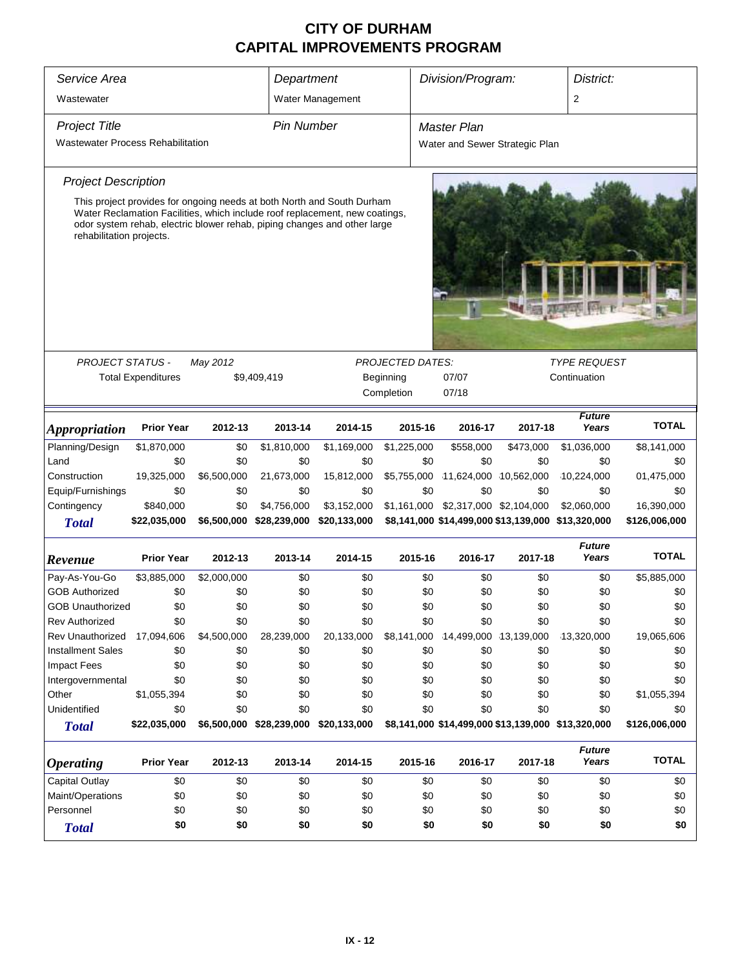| Service Area                                                                                                                                                                                                                                                  | Department        |                  |                                       | Division/Program:              |                                      |                                                    | District:      |                        |               |  |  |
|---------------------------------------------------------------------------------------------------------------------------------------------------------------------------------------------------------------------------------------------------------------|-------------------|------------------|---------------------------------------|--------------------------------|--------------------------------------|----------------------------------------------------|----------------|------------------------|---------------|--|--|
| Wastewater                                                                                                                                                                                                                                                    |                   | Water Management |                                       |                                |                                      |                                                    | $\overline{2}$ |                        |               |  |  |
| <b>Project Title</b>                                                                                                                                                                                                                                          | <b>Pin Number</b> |                  |                                       | Master Plan                    |                                      |                                                    |                |                        |               |  |  |
| Wastewater Process Rehabilitation                                                                                                                                                                                                                             |                   |                  |                                       | Water and Sewer Strategic Plan |                                      |                                                    |                |                        |               |  |  |
| <b>Project Description</b>                                                                                                                                                                                                                                    |                   |                  |                                       |                                |                                      |                                                    |                |                        |               |  |  |
| This project provides for ongoing needs at both North and South Durham<br>Water Reclamation Facilities, which include roof replacement, new coatings,<br>odor system rehab, electric blower rehab, piping changes and other large<br>rehabilitation projects. |                   |                  |                                       |                                |                                      |                                                    |                |                        |               |  |  |
|                                                                                                                                                                                                                                                               |                   |                  |                                       |                                |                                      |                                                    |                |                        |               |  |  |
|                                                                                                                                                                                                                                                               |                   |                  |                                       |                                |                                      |                                                    |                |                        |               |  |  |
| <b>PROJECT STATUS -</b><br>May 2012                                                                                                                                                                                                                           |                   |                  |                                       |                                | <b>PROJECTED DATES:</b><br>Beginning | 07/07                                              |                | <b>TYPE REQUEST</b>    |               |  |  |
| <b>Total Expenditures</b><br>\$9,409,419                                                                                                                                                                                                                      |                   |                  |                                       | Completion                     | 07/18                                |                                                    | Continuation   |                        |               |  |  |
|                                                                                                                                                                                                                                                               |                   |                  |                                       |                                |                                      |                                                    |                |                        |               |  |  |
| <i><b>Appropriation</b></i>                                                                                                                                                                                                                                   | <b>Prior Year</b> | 2012-13          | 2013-14                               | 2014-15                        | 2015-16                              | 2016-17                                            | 2017-18        | <b>Future</b><br>Years | <b>TOTAL</b>  |  |  |
| Planning/Design                                                                                                                                                                                                                                               | \$1,870,000       | \$0              | \$1,810,000                           | \$1,169,000                    | \$1,225,000                          | \$558,000                                          | \$473,000      | \$1,036,000            | \$8,141,000   |  |  |
| Land                                                                                                                                                                                                                                                          | \$0               | \$0              | \$0                                   | \$0                            | \$0                                  | \$0                                                | \$0            | \$0                    | \$0           |  |  |
| Construction                                                                                                                                                                                                                                                  | 19,325,000        | \$6,500,000      | 21,673,000                            | 15,812,000                     | \$5,755,000                          | 11,624,000 10,562,000                              |                | 10,224,000             | 01,475,000    |  |  |
| Equip/Furnishings                                                                                                                                                                                                                                             | \$0               | \$0              | \$0                                   | \$0                            | \$0                                  | \$0                                                | \$0            | \$0                    | \$0           |  |  |
| Contingency                                                                                                                                                                                                                                                   | \$840,000         | \$0              | \$4,756,000                           | \$3,152,000                    | \$1,161,000                          | \$2,317,000 \$2,104,000                            |                | \$2,060,000            | 16,390,000    |  |  |
| <b>Total</b>                                                                                                                                                                                                                                                  | \$22,035,000      | \$6,500,000      | \$28,239,000                          | \$20,133,000                   |                                      | \$8,141,000 \$14,499,000 \$13,139,000 \$13,320,000 |                |                        | \$126,006,000 |  |  |
| Revenue                                                                                                                                                                                                                                                       | <b>Prior Year</b> | 2012-13          | 2013-14                               | 2014-15                        | 2015-16                              | 2016-17                                            | 2017-18        | <b>Future</b><br>Years | <b>TOTAL</b>  |  |  |
| Pay-As-You-Go                                                                                                                                                                                                                                                 | \$3,885,000       | \$2,000,000      | \$0                                   | \$0                            | \$0                                  | \$0                                                | \$0            | \$0                    | \$5,885,000   |  |  |
| <b>GOB Authorized</b>                                                                                                                                                                                                                                         | \$0               | \$0              | \$0                                   | \$0                            | \$0                                  | \$0                                                | \$0            | \$0                    | \$0           |  |  |
| <b>GOB Unauthorized</b>                                                                                                                                                                                                                                       | \$0               | \$0              | \$0                                   | \$0                            | \$0                                  | \$0                                                | \$0            | \$0                    | \$0           |  |  |
| <b>Rev Authorized</b>                                                                                                                                                                                                                                         | \$0               | \$0              | \$0                                   | \$0                            | \$0                                  | \$0                                                | \$0            | \$0                    | \$0           |  |  |
| Rev Unauthorized                                                                                                                                                                                                                                              | 17,094,606        | \$4,500,000      | 28,239,000                            | 20,133,000                     | \$8,141,000                          | 14,499,000 13,139,000                              |                | 13,320,000             | 19,065,606    |  |  |
| <b>Installment Sales</b>                                                                                                                                                                                                                                      | \$0               | \$0              | \$0                                   | \$0                            | \$0                                  | \$0                                                | \$0            | \$0                    | \$0           |  |  |
| Impact Fees                                                                                                                                                                                                                                                   | \$0               | \$0              | \$0                                   | \$0                            | \$0                                  | \$0                                                | \$0            | \$0                    | \$0           |  |  |
| Intergovernmental                                                                                                                                                                                                                                             | \$0               | \$0              | \$0                                   | \$0                            | \$0                                  | \$0                                                | \$0            | \$0                    | \$0           |  |  |
| Other                                                                                                                                                                                                                                                         | \$1,055,394       | \$0              | \$0                                   | \$0                            | \$0                                  | \$0                                                | \$0            | \$0                    | \$1,055,394   |  |  |
| Unidentified                                                                                                                                                                                                                                                  | \$0               | \$0              | \$0                                   | \$0                            | \$0                                  | \$0                                                | \$0            | \$0                    | \$0           |  |  |
| <b>Total</b>                                                                                                                                                                                                                                                  | \$22,035,000      |                  | \$6,500,000 \$28,239,000 \$20,133,000 |                                |                                      | \$8,141,000 \$14,499,000 \$13,139,000 \$13,320,000 |                |                        | \$126,006,000 |  |  |
| <b>Operating</b>                                                                                                                                                                                                                                              | <b>Prior Year</b> | 2012-13          | 2013-14                               | 2014-15                        | 2015-16                              | 2016-17                                            | 2017-18        | <b>Future</b><br>Years | <b>TOTAL</b>  |  |  |
| <b>Capital Outlay</b>                                                                                                                                                                                                                                         | \$0               | \$0              | \$0                                   | \$0                            | \$0                                  | \$0                                                | \$0            | \$0                    | \$0           |  |  |
| Maint/Operations                                                                                                                                                                                                                                              | \$0               | \$0              | \$0                                   | \$0                            | \$0                                  | \$0                                                | \$0            | \$0                    | \$0           |  |  |
| Personnel                                                                                                                                                                                                                                                     | \$0               | \$0              | \$0                                   | \$0                            | \$0                                  | \$0                                                | \$0            | \$0                    | \$0           |  |  |
| <b>Total</b>                                                                                                                                                                                                                                                  | \$0               | \$0              | \$0                                   | \$0                            | \$0                                  | \$0                                                | \$0            | \$0                    | \$0           |  |  |